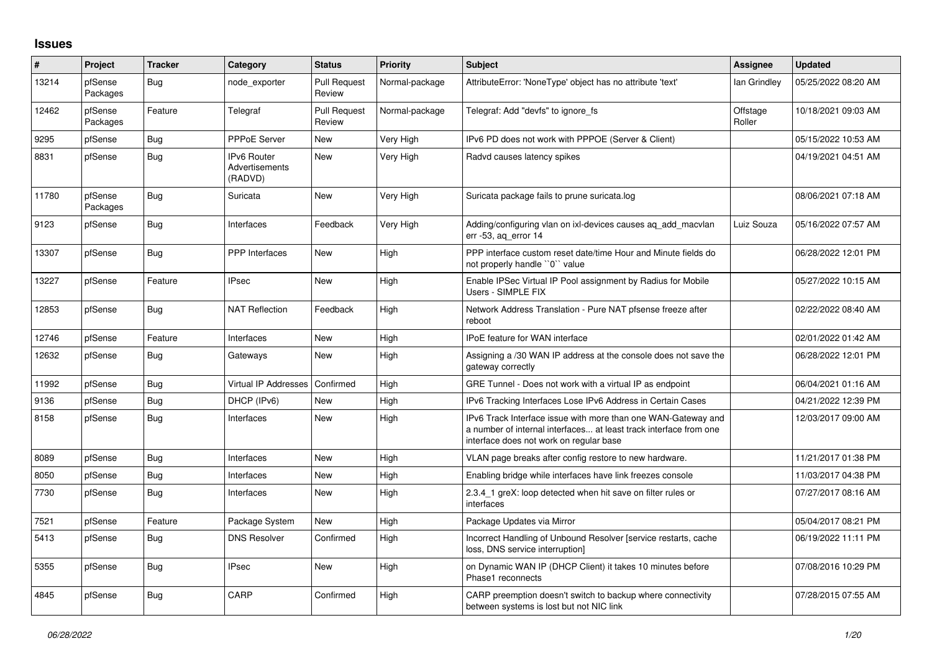## **Issues**

| $\#$  | Project             | <b>Tracker</b> | Category                                        | <b>Status</b>                 | <b>Priority</b> | <b>Subject</b>                                                                                                                                                                | <b>Assignee</b>    | <b>Updated</b>      |
|-------|---------------------|----------------|-------------------------------------------------|-------------------------------|-----------------|-------------------------------------------------------------------------------------------------------------------------------------------------------------------------------|--------------------|---------------------|
| 13214 | pfSense<br>Packages | Bug            | node exporter                                   | <b>Pull Request</b><br>Review | Normal-package  | AttributeError: 'NoneType' object has no attribute 'text'                                                                                                                     | lan Grindley       | 05/25/2022 08:20 AM |
| 12462 | pfSense<br>Packages | Feature        | Telegraf                                        | <b>Pull Request</b><br>Review | Normal-package  | Telegraf: Add "devfs" to ignore_fs                                                                                                                                            | Offstage<br>Roller | 10/18/2021 09:03 AM |
| 9295  | pfSense             | <b>Bug</b>     | <b>PPPoE Server</b>                             | New                           | Very High       | IPv6 PD does not work with PPPOE (Server & Client)                                                                                                                            |                    | 05/15/2022 10:53 AM |
| 8831  | pfSense             | <b>Bug</b>     | <b>IPv6 Router</b><br>Advertisements<br>(RADVD) | <b>New</b>                    | Very High       | Radvd causes latency spikes                                                                                                                                                   |                    | 04/19/2021 04:51 AM |
| 11780 | pfSense<br>Packages | <b>Bug</b>     | Suricata                                        | <b>New</b>                    | Very High       | Suricata package fails to prune suricata.log                                                                                                                                  |                    | 08/06/2021 07:18 AM |
| 9123  | pfSense             | <b>Bug</b>     | Interfaces                                      | Feedback                      | Very High       | Adding/configuring vlan on ixl-devices causes ag add macylan<br>err -53, aq_error 14                                                                                          | Luiz Souza         | 05/16/2022 07:57 AM |
| 13307 | pfSense             | <b>Bug</b>     | PPP Interfaces                                  | <b>New</b>                    | High            | PPP interface custom reset date/time Hour and Minute fields do<br>not properly handle "0" value                                                                               |                    | 06/28/2022 12:01 PM |
| 13227 | pfSense             | Feature        | <b>IPsec</b>                                    | <b>New</b>                    | High            | Enable IPSec Virtual IP Pool assignment by Radius for Mobile<br>Users - SIMPLE FIX                                                                                            |                    | 05/27/2022 10:15 AM |
| 12853 | pfSense             | Bug            | <b>NAT Reflection</b>                           | Feedback                      | High            | Network Address Translation - Pure NAT pfsense freeze after<br>reboot                                                                                                         |                    | 02/22/2022 08:40 AM |
| 12746 | pfSense             | Feature        | Interfaces                                      | <b>New</b>                    | High            | IPoE feature for WAN interface                                                                                                                                                |                    | 02/01/2022 01:42 AM |
| 12632 | pfSense             | <b>Bug</b>     | Gateways                                        | <b>New</b>                    | High            | Assigning a /30 WAN IP address at the console does not save the<br>gateway correctly                                                                                          |                    | 06/28/2022 12:01 PM |
| 11992 | pfSense             | Bug            | Virtual IP Addresses                            | Confirmed                     | High            | GRE Tunnel - Does not work with a virtual IP as endpoint                                                                                                                      |                    | 06/04/2021 01:16 AM |
| 9136  | pfSense             | <b>Bug</b>     | DHCP (IPv6)                                     | <b>New</b>                    | High            | IPv6 Tracking Interfaces Lose IPv6 Address in Certain Cases                                                                                                                   |                    | 04/21/2022 12:39 PM |
| 8158  | pfSense             | <b>Bug</b>     | Interfaces                                      | <b>New</b>                    | High            | IPv6 Track Interface issue with more than one WAN-Gateway and<br>a number of internal interfaces at least track interface from one<br>interface does not work on regular base |                    | 12/03/2017 09:00 AM |
| 8089  | pfSense             | Bug            | Interfaces                                      | New                           | High            | VLAN page breaks after config restore to new hardware.                                                                                                                        |                    | 11/21/2017 01:38 PM |
| 8050  | pfSense             | <b>Bug</b>     | Interfaces                                      | <b>New</b>                    | High            | Enabling bridge while interfaces have link freezes console                                                                                                                    |                    | 11/03/2017 04:38 PM |
| 7730  | pfSense             | <b>Bug</b>     | Interfaces                                      | <b>New</b>                    | High            | 2.3.4 1 greX: loop detected when hit save on filter rules or<br>interfaces                                                                                                    |                    | 07/27/2017 08:16 AM |
| 7521  | pfSense             | Feature        | Package System                                  | <b>New</b>                    | High            | Package Updates via Mirror                                                                                                                                                    |                    | 05/04/2017 08:21 PM |
| 5413  | pfSense             | Bug            | <b>DNS Resolver</b>                             | Confirmed                     | High            | Incorrect Handling of Unbound Resolver [service restarts, cache<br>loss, DNS service interruption]                                                                            |                    | 06/19/2022 11:11 PM |
| 5355  | pfSense             | <b>Bug</b>     | <b>IPsec</b>                                    | <b>New</b>                    | High            | on Dynamic WAN IP (DHCP Client) it takes 10 minutes before<br>Phase1 reconnects                                                                                               |                    | 07/08/2016 10:29 PM |
| 4845  | pfSense             | <b>Bug</b>     | CARP                                            | Confirmed                     | High            | CARP preemption doesn't switch to backup where connectivity<br>between systems is lost but not NIC link                                                                       |                    | 07/28/2015 07:55 AM |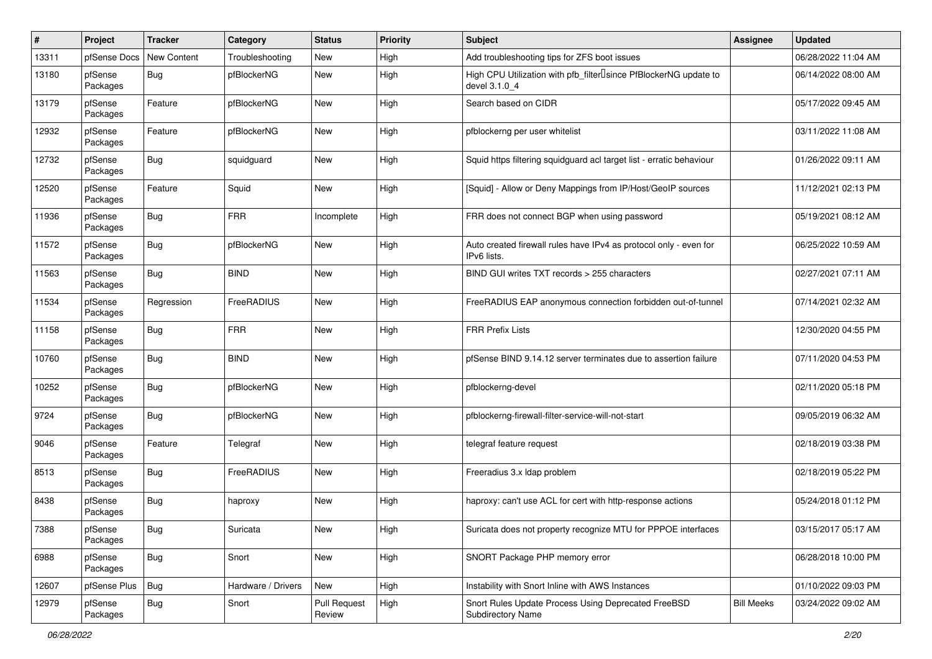| #     | Project             | <b>Tracker</b> | Category           | <b>Status</b>                 | <b>Priority</b> | <b>Subject</b>                                                                                  | <b>Assignee</b>   | <b>Updated</b>      |
|-------|---------------------|----------------|--------------------|-------------------------------|-----------------|-------------------------------------------------------------------------------------------------|-------------------|---------------------|
| 13311 | pfSense Docs        | New Content    | Troubleshooting    | New                           | High            | Add troubleshooting tips for ZFS boot issues                                                    |                   | 06/28/2022 11:04 AM |
| 13180 | pfSense<br>Packages | <b>Bug</b>     | pfBlockerNG        | <b>New</b>                    | High            | High CPU Utilization with pfb_filter <sup>[]</sup> since PfBlockerNG update to<br>devel 3.1.0 4 |                   | 06/14/2022 08:00 AM |
| 13179 | pfSense<br>Packages | Feature        | pfBlockerNG        | <b>New</b>                    | High            | Search based on CIDR                                                                            |                   | 05/17/2022 09:45 AM |
| 12932 | pfSense<br>Packages | Feature        | pfBlockerNG        | <b>New</b>                    | High            | pfblockerng per user whitelist                                                                  |                   | 03/11/2022 11:08 AM |
| 12732 | pfSense<br>Packages | <b>Bug</b>     | squidguard         | <b>New</b>                    | High            | Squid https filtering squidguard acl target list - erratic behaviour                            |                   | 01/26/2022 09:11 AM |
| 12520 | pfSense<br>Packages | Feature        | Squid              | New                           | High            | [Squid] - Allow or Deny Mappings from IP/Host/GeoIP sources                                     |                   | 11/12/2021 02:13 PM |
| 11936 | pfSense<br>Packages | <b>Bug</b>     | <b>FRR</b>         | Incomplete                    | High            | FRR does not connect BGP when using password                                                    |                   | 05/19/2021 08:12 AM |
| 11572 | pfSense<br>Packages | <b>Bug</b>     | pfBlockerNG        | <b>New</b>                    | High            | Auto created firewall rules have IPv4 as protocol only - even for<br>IPv6 lists.                |                   | 06/25/2022 10:59 AM |
| 11563 | pfSense<br>Packages | <b>Bug</b>     | <b>BIND</b>        | <b>New</b>                    | High            | BIND GUI writes TXT records > 255 characters                                                    |                   | 02/27/2021 07:11 AM |
| 11534 | pfSense<br>Packages | Regression     | FreeRADIUS         | <b>New</b>                    | High            | FreeRADIUS EAP anonymous connection forbidden out-of-tunnel                                     |                   | 07/14/2021 02:32 AM |
| 11158 | pfSense<br>Packages | <b>Bug</b>     | <b>FRR</b>         | New                           | High            | <b>FRR Prefix Lists</b>                                                                         |                   | 12/30/2020 04:55 PM |
| 10760 | pfSense<br>Packages | <b>Bug</b>     | <b>BIND</b>        | <b>New</b>                    | High            | pfSense BIND 9.14.12 server terminates due to assertion failure                                 |                   | 07/11/2020 04:53 PM |
| 10252 | pfSense<br>Packages | <b>Bug</b>     | pfBlockerNG        | New                           | High            | pfblockerng-devel                                                                               |                   | 02/11/2020 05:18 PM |
| 9724  | pfSense<br>Packages | <b>Bug</b>     | pfBlockerNG        | <b>New</b>                    | High            | pfblockerng-firewall-filter-service-will-not-start                                              |                   | 09/05/2019 06:32 AM |
| 9046  | pfSense<br>Packages | Feature        | Telegraf           | <b>New</b>                    | High            | telegraf feature request                                                                        |                   | 02/18/2019 03:38 PM |
| 8513  | pfSense<br>Packages | <b>Bug</b>     | FreeRADIUS         | <b>New</b>                    | High            | Freeradius 3.x Idap problem                                                                     |                   | 02/18/2019 05:22 PM |
| 8438  | pfSense<br>Packages | <b>Bug</b>     | haproxy            | New                           | High            | haproxy: can't use ACL for cert with http-response actions                                      |                   | 05/24/2018 01:12 PM |
| 7388  | pfSense<br>Packages | Bug            | Suricata           | New                           | High            | Suricata does not property recognize MTU for PPPOE interfaces                                   |                   | 03/15/2017 05:17 AM |
| 6988  | pfSense<br>Packages | Bug            | Snort              | New                           | High            | SNORT Package PHP memory error                                                                  |                   | 06/28/2018 10:00 PM |
| 12607 | pfSense Plus        | <b>Bug</b>     | Hardware / Drivers | New                           | High            | Instability with Snort Inline with AWS Instances                                                |                   | 01/10/2022 09:03 PM |
| 12979 | pfSense<br>Packages | <b>Bug</b>     | Snort              | <b>Pull Request</b><br>Review | High            | Snort Rules Update Process Using Deprecated FreeBSD<br>Subdirectory Name                        | <b>Bill Meeks</b> | 03/24/2022 09:02 AM |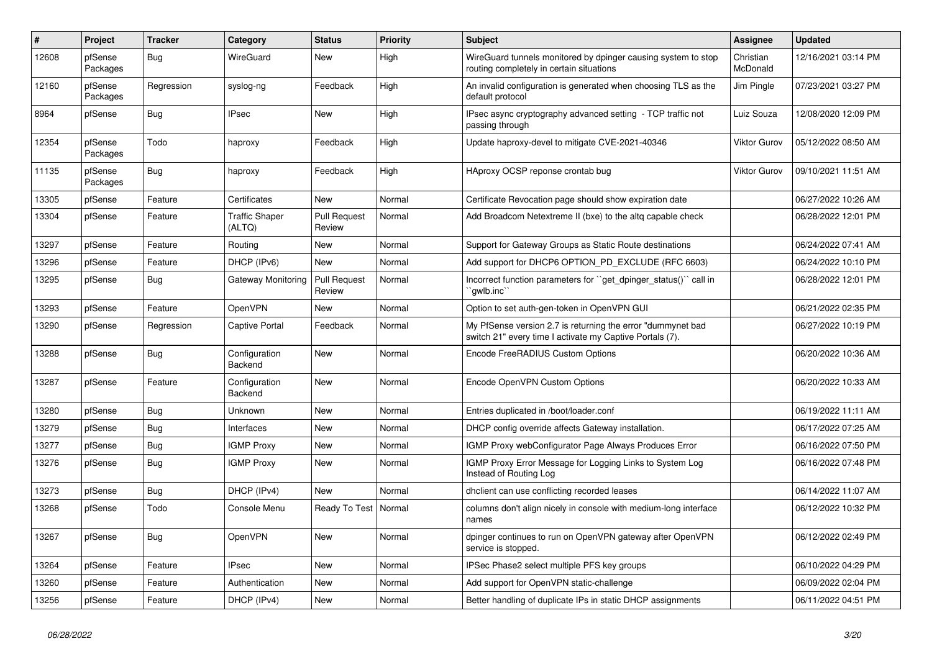| #     | Project             | <b>Tracker</b> | Category                        | <b>Status</b>                 | <b>Priority</b> | <b>Subject</b>                                                                                                          | Assignee              | <b>Updated</b>      |
|-------|---------------------|----------------|---------------------------------|-------------------------------|-----------------|-------------------------------------------------------------------------------------------------------------------------|-----------------------|---------------------|
| 12608 | pfSense<br>Packages | Bug            | WireGuard                       | <b>New</b>                    | High            | WireGuard tunnels monitored by dpinger causing system to stop<br>routing completely in certain situations               | Christian<br>McDonald | 12/16/2021 03:14 PM |
| 12160 | pfSense<br>Packages | Regression     | syslog-ng                       | Feedback                      | High            | An invalid configuration is generated when choosing TLS as the<br>default protocol                                      | Jim Pingle            | 07/23/2021 03:27 PM |
| 8964  | pfSense             | <b>Bug</b>     | <b>IPsec</b>                    | <b>New</b>                    | High            | IPsec async cryptography advanced setting - TCP traffic not<br>passing through                                          | Luiz Souza            | 12/08/2020 12:09 PM |
| 12354 | pfSense<br>Packages | Todo           | haproxy                         | Feedback                      | High            | Update haproxy-devel to mitigate CVE-2021-40346                                                                         | Viktor Gurov          | 05/12/2022 08:50 AM |
| 11135 | pfSense<br>Packages | <b>Bug</b>     | haproxy                         | Feedback                      | High            | HAproxy OCSP reponse crontab bug                                                                                        | Viktor Gurov          | 09/10/2021 11:51 AM |
| 13305 | pfSense             | Feature        | Certificates                    | <b>New</b>                    | Normal          | Certificate Revocation page should show expiration date                                                                 |                       | 06/27/2022 10:26 AM |
| 13304 | pfSense             | Feature        | <b>Traffic Shaper</b><br>(ALTQ) | <b>Pull Request</b><br>Review | Normal          | Add Broadcom Netextreme II (bxe) to the altg capable check                                                              |                       | 06/28/2022 12:01 PM |
| 13297 | pfSense             | Feature        | Routing                         | <b>New</b>                    | Normal          | Support for Gateway Groups as Static Route destinations                                                                 |                       | 06/24/2022 07:41 AM |
| 13296 | pfSense             | Feature        | DHCP (IPv6)                     | <b>New</b>                    | Normal          | Add support for DHCP6 OPTION PD EXCLUDE (RFC 6603)                                                                      |                       | 06/24/2022 10:10 PM |
| 13295 | pfSense             | Bug            | Gateway Monitoring              | <b>Pull Request</b><br>Review | Normal          | Incorrect function parameters for "get dpinger status()" call in<br>`gwlb.inc                                           |                       | 06/28/2022 12:01 PM |
| 13293 | pfSense             | Feature        | OpenVPN                         | <b>New</b>                    | Normal          | Option to set auth-gen-token in OpenVPN GUI                                                                             |                       | 06/21/2022 02:35 PM |
| 13290 | pfSense             | Regression     | Captive Portal                  | Feedback                      | Normal          | My PfSense version 2.7 is returning the error "dummynet bad<br>switch 21" every time I activate my Captive Portals (7). |                       | 06/27/2022 10:19 PM |
| 13288 | pfSense             | Bug            | Configuration<br>Backend        | <b>New</b>                    | Normal          | Encode FreeRADIUS Custom Options                                                                                        |                       | 06/20/2022 10:36 AM |
| 13287 | pfSense             | Feature        | Configuration<br>Backend        | <b>New</b>                    | Normal          | Encode OpenVPN Custom Options                                                                                           |                       | 06/20/2022 10:33 AM |
| 13280 | pfSense             | Bug            | Unknown                         | <b>New</b>                    | Normal          | Entries duplicated in /boot/loader.conf                                                                                 |                       | 06/19/2022 11:11 AM |
| 13279 | pfSense             | <b>Bug</b>     | Interfaces                      | <b>New</b>                    | Normal          | DHCP config override affects Gateway installation.                                                                      |                       | 06/17/2022 07:25 AM |
| 13277 | pfSense             | <b>Bug</b>     | <b>IGMP Proxy</b>               | <b>New</b>                    | Normal          | IGMP Proxy webConfigurator Page Always Produces Error                                                                   |                       | 06/16/2022 07:50 PM |
| 13276 | pfSense             | <b>Bug</b>     | <b>IGMP Proxy</b>               | <b>New</b>                    | Normal          | IGMP Proxy Error Message for Logging Links to System Log<br>Instead of Routing Log                                      |                       | 06/16/2022 07:48 PM |
| 13273 | pfSense             | <b>Bug</b>     | DHCP (IPv4)                     | <b>New</b>                    | Normal          | dhclient can use conflicting recorded leases                                                                            |                       | 06/14/2022 11:07 AM |
| 13268 | pfSense             | Todo           | Console Menu                    | Ready To Test                 | Normal          | columns don't align nicely in console with medium-long interface<br>names                                               |                       | 06/12/2022 10:32 PM |
| 13267 | pfSense             | <b>Bug</b>     | OpenVPN                         | <b>New</b>                    | Normal          | dpinger continues to run on OpenVPN gateway after OpenVPN<br>service is stopped.                                        |                       | 06/12/2022 02:49 PM |
| 13264 | pfSense             | Feature        | <b>IPsec</b>                    | <b>New</b>                    | Normal          | IPSec Phase2 select multiple PFS key groups                                                                             |                       | 06/10/2022 04:29 PM |
| 13260 | pfSense             | Feature        | Authentication                  | <b>New</b>                    | Normal          | Add support for OpenVPN static-challenge                                                                                |                       | 06/09/2022 02:04 PM |
| 13256 | pfSense             | Feature        | DHCP (IPv4)                     | <b>New</b>                    | Normal          | Better handling of duplicate IPs in static DHCP assignments                                                             |                       | 06/11/2022 04:51 PM |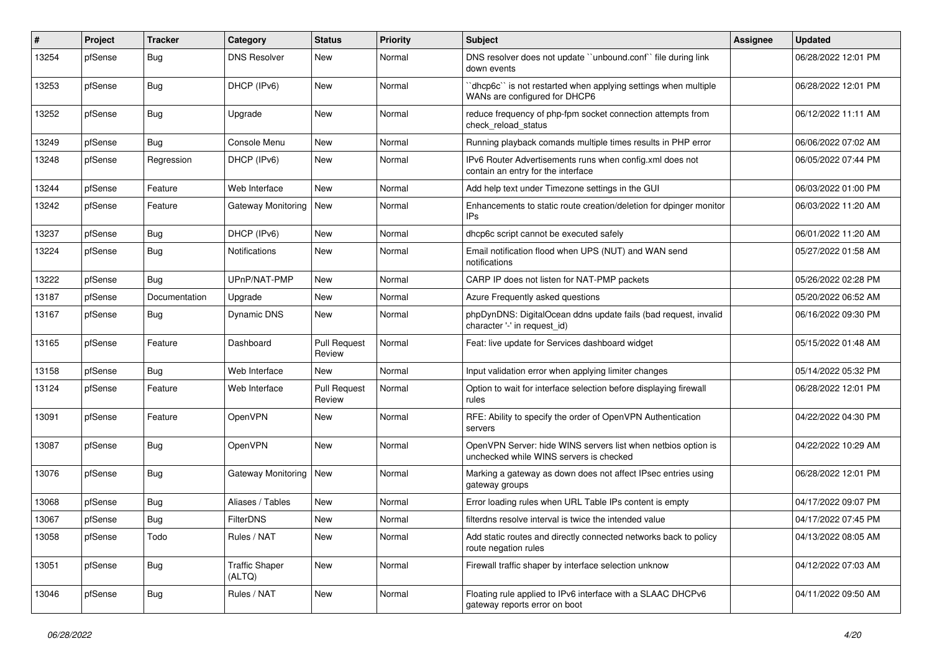| $\#$  | Project | <b>Tracker</b> | Category                        | <b>Status</b>                 | Priority | <b>Subject</b>                                                                                           | <b>Assignee</b> | <b>Updated</b>      |
|-------|---------|----------------|---------------------------------|-------------------------------|----------|----------------------------------------------------------------------------------------------------------|-----------------|---------------------|
| 13254 | pfSense | <b>Bug</b>     | <b>DNS Resolver</b>             | New                           | Normal   | DNS resolver does not update "unbound.conf" file during link<br>down events                              |                 | 06/28/2022 12:01 PM |
| 13253 | pfSense | Bug            | DHCP (IPv6)                     | New                           | Normal   | 'dhcp6c'' is not restarted when applying settings when multiple<br>WANs are configured for DHCP6         |                 | 06/28/2022 12:01 PM |
| 13252 | pfSense | <b>Bug</b>     | Upgrade                         | New                           | Normal   | reduce frequency of php-fpm socket connection attempts from<br>check reload status                       |                 | 06/12/2022 11:11 AM |
| 13249 | pfSense | <b>Bug</b>     | Console Menu                    | New                           | Normal   | Running playback comands multiple times results in PHP error                                             |                 | 06/06/2022 07:02 AM |
| 13248 | pfSense | Regression     | DHCP (IPv6)                     | New                           | Normal   | IPv6 Router Advertisements runs when config.xml does not<br>contain an entry for the interface           |                 | 06/05/2022 07:44 PM |
| 13244 | pfSense | Feature        | Web Interface                   | <b>New</b>                    | Normal   | Add help text under Timezone settings in the GUI                                                         |                 | 06/03/2022 01:00 PM |
| 13242 | pfSense | Feature        | Gateway Monitoring              | New                           | Normal   | Enhancements to static route creation/deletion for dpinger monitor<br>IPs                                |                 | 06/03/2022 11:20 AM |
| 13237 | pfSense | <b>Bug</b>     | DHCP (IPv6)                     | <b>New</b>                    | Normal   | dhcp6c script cannot be executed safely                                                                  |                 | 06/01/2022 11:20 AM |
| 13224 | pfSense | Bug            | <b>Notifications</b>            | New                           | Normal   | Email notification flood when UPS (NUT) and WAN send<br>notifications                                    |                 | 05/27/2022 01:58 AM |
| 13222 | pfSense | Bug            | UPnP/NAT-PMP                    | New                           | Normal   | CARP IP does not listen for NAT-PMP packets                                                              |                 | 05/26/2022 02:28 PM |
| 13187 | pfSense | Documentation  | Upgrade                         | New                           | Normal   | Azure Frequently asked questions                                                                         |                 | 05/20/2022 06:52 AM |
| 13167 | pfSense | Bug            | Dynamic DNS                     | New                           | Normal   | phpDynDNS: DigitalOcean ddns update fails (bad request, invalid<br>character '-' in request id)          |                 | 06/16/2022 09:30 PM |
| 13165 | pfSense | Feature        | Dashboard                       | <b>Pull Request</b><br>Review | Normal   | Feat: live update for Services dashboard widget                                                          |                 | 05/15/2022 01:48 AM |
| 13158 | pfSense | Bug            | Web Interface                   | New                           | Normal   | Input validation error when applying limiter changes                                                     |                 | 05/14/2022 05:32 PM |
| 13124 | pfSense | Feature        | Web Interface                   | <b>Pull Request</b><br>Review | Normal   | Option to wait for interface selection before displaying firewall<br>rules                               |                 | 06/28/2022 12:01 PM |
| 13091 | pfSense | Feature        | OpenVPN                         | New                           | Normal   | RFE: Ability to specify the order of OpenVPN Authentication<br>servers                                   |                 | 04/22/2022 04:30 PM |
| 13087 | pfSense | <b>Bug</b>     | OpenVPN                         | <b>New</b>                    | Normal   | OpenVPN Server: hide WINS servers list when netbios option is<br>unchecked while WINS servers is checked |                 | 04/22/2022 10:29 AM |
| 13076 | pfSense | Bug            | Gateway Monitoring              | New                           | Normal   | Marking a gateway as down does not affect IPsec entries using<br>gateway groups                          |                 | 06/28/2022 12:01 PM |
| 13068 | pfSense | <b>Bug</b>     | Aliases / Tables                | New                           | Normal   | Error loading rules when URL Table IPs content is empty                                                  |                 | 04/17/2022 09:07 PM |
| 13067 | pfSense | <b>Bug</b>     | <b>FilterDNS</b>                | <b>New</b>                    | Normal   | filterdns resolve interval is twice the intended value                                                   |                 | 04/17/2022 07:45 PM |
| 13058 | pfSense | Todo           | Rules / NAT                     | New                           | Normal   | Add static routes and directly connected networks back to policy<br>route negation rules                 |                 | 04/13/2022 08:05 AM |
| 13051 | pfSense | Bug            | <b>Traffic Shaper</b><br>(ALTQ) | New                           | Normal   | Firewall traffic shaper by interface selection unknow                                                    |                 | 04/12/2022 07:03 AM |
| 13046 | pfSense | <b>Bug</b>     | Rules / NAT                     | New                           | Normal   | Floating rule applied to IPv6 interface with a SLAAC DHCPv6<br>gateway reports error on boot             |                 | 04/11/2022 09:50 AM |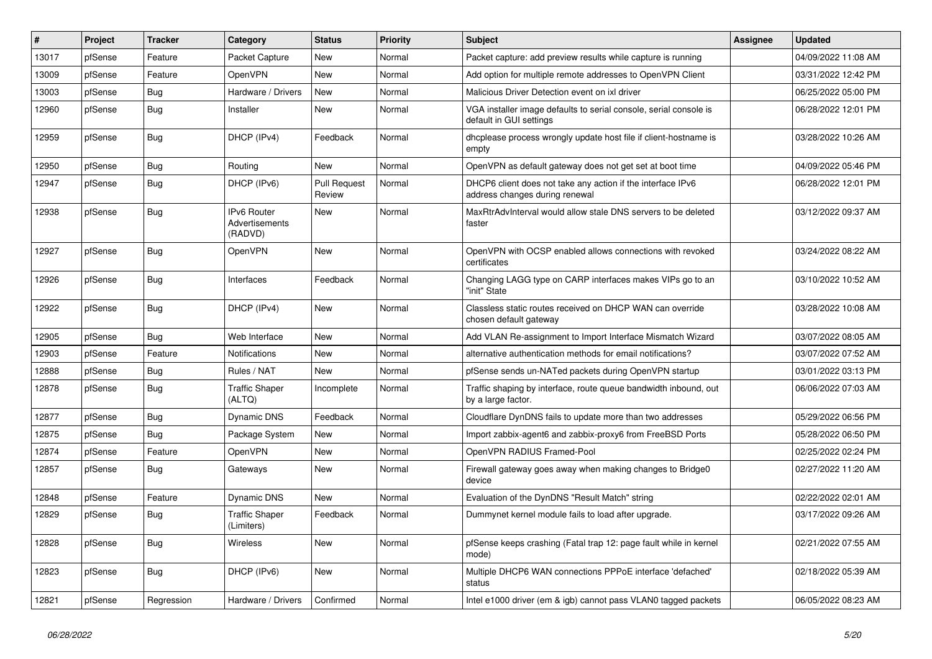| #     | Project | Tracker    | Category                                 | <b>Status</b>                 | Priority | <b>Subject</b>                                                                                | <b>Assignee</b> | <b>Updated</b>      |
|-------|---------|------------|------------------------------------------|-------------------------------|----------|-----------------------------------------------------------------------------------------------|-----------------|---------------------|
| 13017 | pfSense | Feature    | Packet Capture                           | <b>New</b>                    | Normal   | Packet capture: add preview results while capture is running                                  |                 | 04/09/2022 11:08 AM |
| 13009 | pfSense | Feature    | <b>OpenVPN</b>                           | <b>New</b>                    | Normal   | Add option for multiple remote addresses to OpenVPN Client                                    |                 | 03/31/2022 12:42 PM |
| 13003 | pfSense | <b>Bug</b> | Hardware / Drivers                       | New                           | Normal   | Malicious Driver Detection event on ixl driver                                                |                 | 06/25/2022 05:00 PM |
| 12960 | pfSense | <b>Bug</b> | Installer                                | New                           | Normal   | VGA installer image defaults to serial console, serial console is<br>default in GUI settings  |                 | 06/28/2022 12:01 PM |
| 12959 | pfSense | Bug        | DHCP (IPv4)                              | Feedback                      | Normal   | dhoplease process wrongly update host file if client-hostname is<br>empty                     |                 | 03/28/2022 10:26 AM |
| 12950 | pfSense | Bug        | Routina                                  | <b>New</b>                    | Normal   | OpenVPN as default gateway does not get set at boot time                                      |                 | 04/09/2022 05:46 PM |
| 12947 | pfSense | Bug        | DHCP (IPv6)                              | <b>Pull Request</b><br>Review | Normal   | DHCP6 client does not take any action if the interface IPv6<br>address changes during renewal |                 | 06/28/2022 12:01 PM |
| 12938 | pfSense | Bug        | IPv6 Router<br>Advertisements<br>(RADVD) | New                           | Normal   | MaxRtrAdvInterval would allow stale DNS servers to be deleted<br>faster                       |                 | 03/12/2022 09:37 AM |
| 12927 | pfSense | Bug        | OpenVPN                                  | <b>New</b>                    | Normal   | OpenVPN with OCSP enabled allows connections with revoked<br>certificates                     |                 | 03/24/2022 08:22 AM |
| 12926 | pfSense | Bug        | Interfaces                               | Feedback                      | Normal   | Changing LAGG type on CARP interfaces makes VIPs go to an<br>"init" State                     |                 | 03/10/2022 10:52 AM |
| 12922 | pfSense | Bug        | DHCP (IPv4)                              | <b>New</b>                    | Normal   | Classless static routes received on DHCP WAN can override<br>chosen default gateway           |                 | 03/28/2022 10:08 AM |
| 12905 | pfSense | Bug        | Web Interface                            | New                           | Normal   | Add VLAN Re-assignment to Import Interface Mismatch Wizard                                    |                 | 03/07/2022 08:05 AM |
| 12903 | pfSense | Feature    | Notifications                            | <b>New</b>                    | Normal   | alternative authentication methods for email notifications?                                   |                 | 03/07/2022 07:52 AM |
| 12888 | pfSense | <b>Bug</b> | Rules / NAT                              | <b>New</b>                    | Normal   | pfSense sends un-NATed packets during OpenVPN startup                                         |                 | 03/01/2022 03:13 PM |
| 12878 | pfSense | <b>Bug</b> | <b>Traffic Shaper</b><br>(ALTQ)          | Incomplete                    | Normal   | Traffic shaping by interface, route queue bandwidth inbound, out<br>by a large factor.        |                 | 06/06/2022 07:03 AM |
| 12877 | pfSense | Bug        | Dynamic DNS                              | Feedback                      | Normal   | Cloudflare DynDNS fails to update more than two addresses                                     |                 | 05/29/2022 06:56 PM |
| 12875 | pfSense | <b>Bug</b> | Package System                           | New                           | Normal   | Import zabbix-agent6 and zabbix-proxy6 from FreeBSD Ports                                     |                 | 05/28/2022 06:50 PM |
| 12874 | pfSense | Feature    | OpenVPN                                  | New                           | Normal   | OpenVPN RADIUS Framed-Pool                                                                    |                 | 02/25/2022 02:24 PM |
| 12857 | pfSense | <b>Bug</b> | Gateways                                 | <b>New</b>                    | Normal   | Firewall gateway goes away when making changes to Bridge0<br>device                           |                 | 02/27/2022 11:20 AM |
| 12848 | pfSense | Feature    | <b>Dynamic DNS</b>                       | <b>New</b>                    | Normal   | Evaluation of the DynDNS "Result Match" string                                                |                 | 02/22/2022 02:01 AM |
| 12829 | pfSense | Bug        | <b>Traffic Shaper</b><br>(Limiters)      | Feedback                      | Normal   | Dummynet kernel module fails to load after upgrade.                                           |                 | 03/17/2022 09:26 AM |
| 12828 | pfSense | Bug        | <b>Wireless</b>                          | <b>New</b>                    | Normal   | pfSense keeps crashing (Fatal trap 12: page fault while in kernel<br>mode)                    |                 | 02/21/2022 07:55 AM |
| 12823 | pfSense | <b>Bug</b> | DHCP (IPv6)                              | New                           | Normal   | Multiple DHCP6 WAN connections PPPoE interface 'defached'<br>status                           |                 | 02/18/2022 05:39 AM |
| 12821 | pfSense | Regression | Hardware / Drivers                       | Confirmed                     | Normal   | Intel e1000 driver (em & igb) cannot pass VLAN0 tagged packets                                |                 | 06/05/2022 08:23 AM |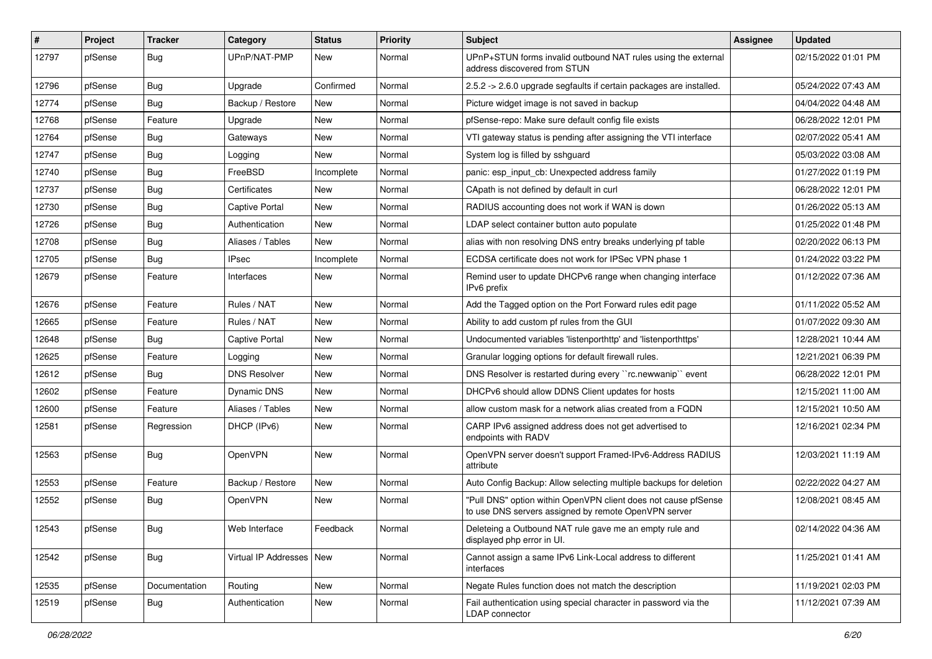| #     | Project | <b>Tracker</b> | Category                   | <b>Status</b> | <b>Priority</b> | Subject                                                                                                                | <b>Assignee</b> | <b>Updated</b>      |
|-------|---------|----------------|----------------------------|---------------|-----------------|------------------------------------------------------------------------------------------------------------------------|-----------------|---------------------|
| 12797 | pfSense | <b>Bug</b>     | UPnP/NAT-PMP               | New           | Normal          | UPnP+STUN forms invalid outbound NAT rules using the external<br>address discovered from STUN                          |                 | 02/15/2022 01:01 PM |
| 12796 | pfSense | Bug            | Upgrade                    | Confirmed     | Normal          | 2.5.2 -> 2.6.0 upgrade segfaults if certain packages are installed.                                                    |                 | 05/24/2022 07:43 AM |
| 12774 | pfSense | <b>Bug</b>     | Backup / Restore           | New           | Normal          | Picture widget image is not saved in backup                                                                            |                 | 04/04/2022 04:48 AM |
| 12768 | pfSense | Feature        | Upgrade                    | New           | Normal          | pfSense-repo: Make sure default config file exists                                                                     |                 | 06/28/2022 12:01 PM |
| 12764 | pfSense | <b>Bug</b>     | Gateways                   | New           | Normal          | VTI gateway status is pending after assigning the VTI interface                                                        |                 | 02/07/2022 05:41 AM |
| 12747 | pfSense | Bug            | Logging                    | New           | Normal          | System log is filled by sshquard                                                                                       |                 | 05/03/2022 03:08 AM |
| 12740 | pfSense | <b>Bug</b>     | FreeBSD                    | Incomplete    | Normal          | panic: esp_input_cb: Unexpected address family                                                                         |                 | 01/27/2022 01:19 PM |
| 12737 | pfSense | <b>Bug</b>     | Certificates               | New           | Normal          | CApath is not defined by default in curl                                                                               |                 | 06/28/2022 12:01 PM |
| 12730 | pfSense | <b>Bug</b>     | Captive Portal             | New           | Normal          | RADIUS accounting does not work if WAN is down                                                                         |                 | 01/26/2022 05:13 AM |
| 12726 | pfSense | Bug            | Authentication             | New           | Normal          | LDAP select container button auto populate                                                                             |                 | 01/25/2022 01:48 PM |
| 12708 | pfSense | <b>Bug</b>     | Aliases / Tables           | New           | Normal          | alias with non resolving DNS entry breaks underlying pf table                                                          |                 | 02/20/2022 06:13 PM |
| 12705 | pfSense | <b>Bug</b>     | <b>IPsec</b>               | Incomplete    | Normal          | ECDSA certificate does not work for IPSec VPN phase 1                                                                  |                 | 01/24/2022 03:22 PM |
| 12679 | pfSense | Feature        | Interfaces                 | New           | Normal          | Remind user to update DHCPv6 range when changing interface<br>IPv6 prefix                                              |                 | 01/12/2022 07:36 AM |
| 12676 | pfSense | Feature        | Rules / NAT                | <b>New</b>    | Normal          | Add the Tagged option on the Port Forward rules edit page                                                              |                 | 01/11/2022 05:52 AM |
| 12665 | pfSense | Feature        | Rules / NAT                | New           | Normal          | Ability to add custom pf rules from the GUI                                                                            |                 | 01/07/2022 09:30 AM |
| 12648 | pfSense | <b>Bug</b>     | Captive Portal             | <b>New</b>    | Normal          | Undocumented variables 'listenporthttp' and 'listenporthttps'                                                          |                 | 12/28/2021 10:44 AM |
| 12625 | pfSense | Feature        | Logging                    | New           | Normal          | Granular logging options for default firewall rules.                                                                   |                 | 12/21/2021 06:39 PM |
| 12612 | pfSense | Bug            | <b>DNS Resolver</b>        | New           | Normal          | DNS Resolver is restarted during every "rc.newwanip" event                                                             |                 | 06/28/2022 12:01 PM |
| 12602 | pfSense | Feature        | Dynamic DNS                | <b>New</b>    | Normal          | DHCPv6 should allow DDNS Client updates for hosts                                                                      |                 | 12/15/2021 11:00 AM |
| 12600 | pfSense | Feature        | Aliases / Tables           | New           | Normal          | allow custom mask for a network alias created from a FQDN                                                              |                 | 12/15/2021 10:50 AM |
| 12581 | pfSense | Regression     | DHCP (IPv6)                | New           | Normal          | CARP IPv6 assigned address does not get advertised to<br>endpoints with RADV                                           |                 | 12/16/2021 02:34 PM |
| 12563 | pfSense | Bug            | OpenVPN                    | <b>New</b>    | Normal          | OpenVPN server doesn't support Framed-IPv6-Address RADIUS<br>attribute                                                 |                 | 12/03/2021 11:19 AM |
| 12553 | pfSense | Feature        | Backup / Restore           | New           | Normal          | Auto Config Backup: Allow selecting multiple backups for deletion                                                      |                 | 02/22/2022 04:27 AM |
| 12552 | pfSense | Bug            | OpenVPN                    | New           | Normal          | "Pull DNS" option within OpenVPN client does not cause pfSense<br>to use DNS servers assigned by remote OpenVPN server |                 | 12/08/2021 08:45 AM |
| 12543 | pfSense | Bug            | Web Interface              | Feedback      | Normal          | Deleteing a Outbound NAT rule gave me an empty rule and<br>displayed php error in UI.                                  |                 | 02/14/2022 04:36 AM |
| 12542 | pfSense | <b>Bug</b>     | Virtual IP Addresses   New |               | Normal          | Cannot assign a same IPv6 Link-Local address to different<br>interfaces                                                |                 | 11/25/2021 01:41 AM |
| 12535 | pfSense | Documentation  | Routing                    | New           | Normal          | Negate Rules function does not match the description                                                                   |                 | 11/19/2021 02:03 PM |
| 12519 | pfSense | Bug            | Authentication             | New           | Normal          | Fail authentication using special character in password via the<br>LDAP connector                                      |                 | 11/12/2021 07:39 AM |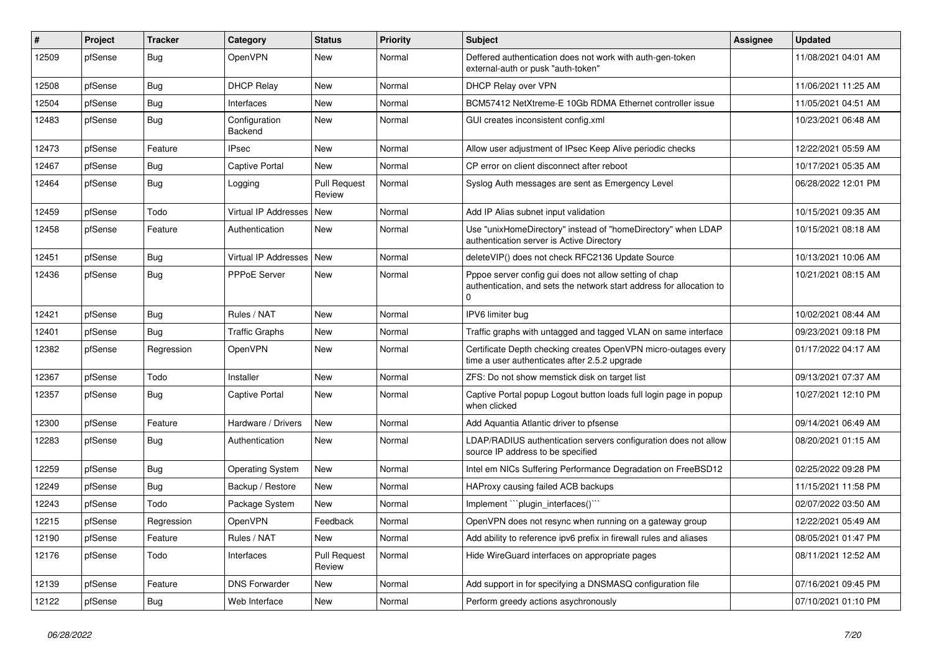| #     | Project | <b>Tracker</b> | Category                    | <b>Status</b>                 | <b>Priority</b> | <b>Subject</b>                                                                                                                      | <b>Assignee</b> | <b>Updated</b>      |
|-------|---------|----------------|-----------------------------|-------------------------------|-----------------|-------------------------------------------------------------------------------------------------------------------------------------|-----------------|---------------------|
| 12509 | pfSense | Bug            | OpenVPN                     | <b>New</b>                    | Normal          | Deffered authentication does not work with auth-gen-token<br>external-auth or pusk "auth-token"                                     |                 | 11/08/2021 04:01 AM |
| 12508 | pfSense | <b>Bug</b>     | <b>DHCP Relay</b>           | <b>New</b>                    | Normal          | DHCP Relay over VPN                                                                                                                 |                 | 11/06/2021 11:25 AM |
| 12504 | pfSense | Bug            | Interfaces                  | <b>New</b>                    | Normal          | BCM57412 NetXtreme-E 10Gb RDMA Ethernet controller issue                                                                            |                 | 11/05/2021 04:51 AM |
| 12483 | pfSense | <b>Bug</b>     | Configuration<br>Backend    | <b>New</b>                    | Normal          | GUI creates inconsistent config.xml                                                                                                 |                 | 10/23/2021 06:48 AM |
| 12473 | pfSense | Feature        | <b>IPsec</b>                | <b>New</b>                    | Normal          | Allow user adjustment of IPsec Keep Alive periodic checks                                                                           |                 | 12/22/2021 05:59 AM |
| 12467 | pfSense | Bug            | <b>Captive Portal</b>       | <b>New</b>                    | Normal          | CP error on client disconnect after reboot                                                                                          |                 | 10/17/2021 05:35 AM |
| 12464 | pfSense | <b>Bug</b>     | Logging                     | <b>Pull Request</b><br>Review | Normal          | Syslog Auth messages are sent as Emergency Level                                                                                    |                 | 06/28/2022 12:01 PM |
| 12459 | pfSense | Todo           | <b>Virtual IP Addresses</b> | New                           | Normal          | Add IP Alias subnet input validation                                                                                                |                 | 10/15/2021 09:35 AM |
| 12458 | pfSense | Feature        | Authentication              | <b>New</b>                    | Normal          | Use "unixHomeDirectory" instead of "homeDirectory" when LDAP<br>authentication server is Active Directory                           |                 | 10/15/2021 08:18 AM |
| 12451 | pfSense | Bug            | Virtual IP Addresses        | New                           | Normal          | deleteVIP() does not check RFC2136 Update Source                                                                                    |                 | 10/13/2021 10:06 AM |
| 12436 | pfSense | <b>Bug</b>     | <b>PPPoE Server</b>         | <b>New</b>                    | Normal          | Pppoe server config gui does not allow setting of chap<br>authentication, and sets the network start address for allocation to<br>U |                 | 10/21/2021 08:15 AM |
| 12421 | pfSense | <b>Bug</b>     | Rules / NAT                 | <b>New</b>                    | Normal          | IPV6 limiter bug                                                                                                                    |                 | 10/02/2021 08:44 AM |
| 12401 | pfSense | Bug            | Traffic Graphs              | <b>New</b>                    | Normal          | Traffic graphs with untagged and tagged VLAN on same interface                                                                      |                 | 09/23/2021 09:18 PM |
| 12382 | pfSense | Regression     | OpenVPN                     | <b>New</b>                    | Normal          | Certificate Depth checking creates OpenVPN micro-outages every<br>time a user authenticates after 2.5.2 upgrade                     |                 | 01/17/2022 04:17 AM |
| 12367 | pfSense | Todo           | Installer                   | <b>New</b>                    | Normal          | ZFS: Do not show memstick disk on target list                                                                                       |                 | 09/13/2021 07:37 AM |
| 12357 | pfSense | <b>Bug</b>     | Captive Portal              | <b>New</b>                    | Normal          | Captive Portal popup Logout button loads full login page in popup<br>when clicked                                                   |                 | 10/27/2021 12:10 PM |
| 12300 | pfSense | Feature        | Hardware / Drivers          | <b>New</b>                    | Normal          | Add Aquantia Atlantic driver to pfsense                                                                                             |                 | 09/14/2021 06:49 AM |
| 12283 | pfSense | Bug            | Authentication              | <b>New</b>                    | Normal          | LDAP/RADIUS authentication servers configuration does not allow<br>source IP address to be specified                                |                 | 08/20/2021 01:15 AM |
| 12259 | pfSense | Bug            | <b>Operating System</b>     | <b>New</b>                    | Normal          | Intel em NICs Suffering Performance Degradation on FreeBSD12                                                                        |                 | 02/25/2022 09:28 PM |
| 12249 | pfSense | <b>Bug</b>     | Backup / Restore            | <b>New</b>                    | Normal          | HAProxy causing failed ACB backups                                                                                                  |                 | 11/15/2021 11:58 PM |
| 12243 | pfSense | Todo           | Package System              | <b>New</b>                    | Normal          | Implement "plugin interfaces()"                                                                                                     |                 | 02/07/2022 03:50 AM |
| 12215 | pfSense | Regression     | OpenVPN                     | Feedback                      | Normal          | OpenVPN does not resync when running on a gateway group                                                                             |                 | 12/22/2021 05:49 AM |
| 12190 | pfSense | Feature        | Rules / NAT                 | <b>New</b>                    | Normal          | Add ability to reference ipv6 prefix in firewall rules and aliases                                                                  |                 | 08/05/2021 01:47 PM |
| 12176 | pfSense | Todo           | Interfaces                  | <b>Pull Request</b><br>Review | Normal          | Hide WireGuard interfaces on appropriate pages                                                                                      |                 | 08/11/2021 12:52 AM |
| 12139 | pfSense | Feature        | <b>DNS Forwarder</b>        | <b>New</b>                    | Normal          | Add support in for specifying a DNSMASQ configuration file                                                                          |                 | 07/16/2021 09:45 PM |
| 12122 | pfSense | Bug            | Web Interface               | <b>New</b>                    | Normal          | Perform greedy actions asychronously                                                                                                |                 | 07/10/2021 01:10 PM |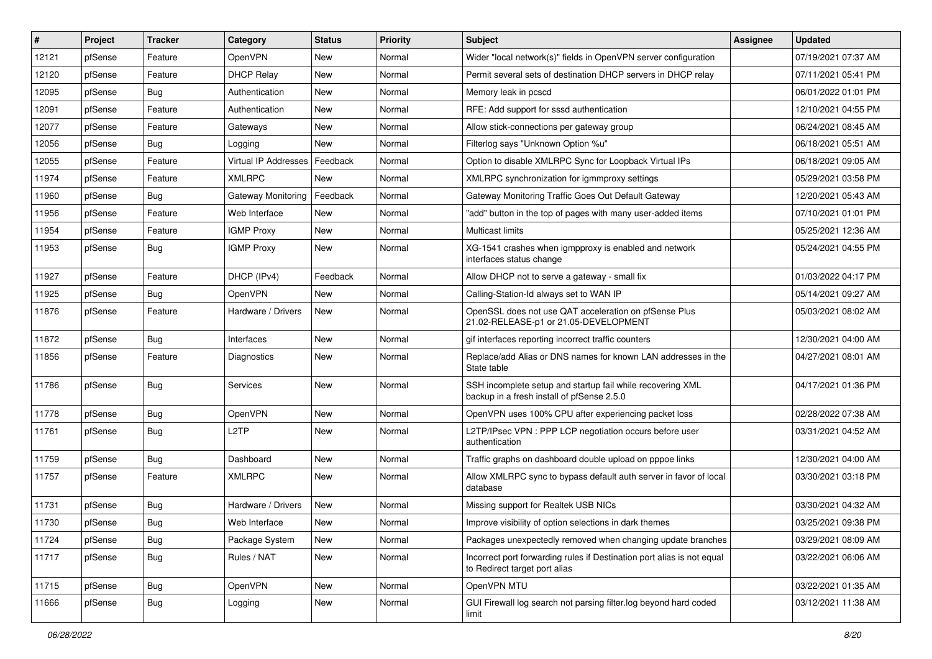| #     | Project | <b>Tracker</b> | Category             | <b>Status</b> | Priority | <b>Subject</b>                                                                                           | <b>Assignee</b> | <b>Updated</b>      |
|-------|---------|----------------|----------------------|---------------|----------|----------------------------------------------------------------------------------------------------------|-----------------|---------------------|
| 12121 | pfSense | Feature        | OpenVPN              | New           | Normal   | Wider "local network(s)" fields in OpenVPN server configuration                                          |                 | 07/19/2021 07:37 AM |
| 12120 | pfSense | Feature        | <b>DHCP Relay</b>    | New           | Normal   | Permit several sets of destination DHCP servers in DHCP relay                                            |                 | 07/11/2021 05:41 PM |
| 12095 | pfSense | Bug            | Authentication       | <b>New</b>    | Normal   | Memory leak in pcscd                                                                                     |                 | 06/01/2022 01:01 PM |
| 12091 | pfSense | Feature        | Authentication       | New           | Normal   | RFE: Add support for sssd authentication                                                                 |                 | 12/10/2021 04:55 PM |
| 12077 | pfSense | Feature        | Gateways             | <b>New</b>    | Normal   | Allow stick-connections per gateway group                                                                |                 | 06/24/2021 08:45 AM |
| 12056 | pfSense | <b>Bug</b>     | Logging              | New           | Normal   | Filterlog says "Unknown Option %u"                                                                       |                 | 06/18/2021 05:51 AM |
| 12055 | pfSense | Feature        | Virtual IP Addresses | Feedback      | Normal   | Option to disable XMLRPC Sync for Loopback Virtual IPs                                                   |                 | 06/18/2021 09:05 AM |
| 11974 | pfSense | Feature        | <b>XMLRPC</b>        | New           | Normal   | XMLRPC synchronization for igmmproxy settings                                                            |                 | 05/29/2021 03:58 PM |
| 11960 | pfSense | Bug            | Gateway Monitoring   | Feedback      | Normal   | Gateway Monitoring Traffic Goes Out Default Gateway                                                      |                 | 12/20/2021 05:43 AM |
| 11956 | pfSense | Feature        | Web Interface        | New           | Normal   | "add" button in the top of pages with many user-added items                                              |                 | 07/10/2021 01:01 PM |
| 11954 | pfSense | Feature        | <b>IGMP Proxy</b>    | New           | Normal   | Multicast limits                                                                                         |                 | 05/25/2021 12:36 AM |
| 11953 | pfSense | Bug            | <b>IGMP Proxy</b>    | New           | Normal   | XG-1541 crashes when igmpproxy is enabled and network<br>interfaces status change                        |                 | 05/24/2021 04:55 PM |
| 11927 | pfSense | Feature        | DHCP (IPv4)          | Feedback      | Normal   | Allow DHCP not to serve a gateway - small fix                                                            |                 | 01/03/2022 04:17 PM |
| 11925 | pfSense | Bug            | OpenVPN              | New           | Normal   | Calling-Station-Id always set to WAN IP                                                                  |                 | 05/14/2021 09:27 AM |
| 11876 | pfSense | Feature        | Hardware / Drivers   | New           | Normal   | OpenSSL does not use QAT acceleration on pfSense Plus<br>21.02-RELEASE-p1 or 21.05-DEVELOPMENT           |                 | 05/03/2021 08:02 AM |
| 11872 | pfSense | <b>Bug</b>     | Interfaces           | <b>New</b>    | Normal   | gif interfaces reporting incorrect traffic counters                                                      |                 | 12/30/2021 04:00 AM |
| 11856 | pfSense | Feature        | Diagnostics          | New           | Normal   | Replace/add Alias or DNS names for known LAN addresses in the<br>State table                             |                 | 04/27/2021 08:01 AM |
| 11786 | pfSense | <b>Bug</b>     | Services             | New           | Normal   | SSH incomplete setup and startup fail while recovering XML<br>backup in a fresh install of pfSense 2.5.0 |                 | 04/17/2021 01:36 PM |
| 11778 | pfSense | <b>Bug</b>     | OpenVPN              | <b>New</b>    | Normal   | OpenVPN uses 100% CPU after experiencing packet loss                                                     |                 | 02/28/2022 07:38 AM |
| 11761 | pfSense | <b>Bug</b>     | L2TP                 | <b>New</b>    | Normal   | L2TP/IPsec VPN : PPP LCP negotiation occurs before user<br>authentication                                |                 | 03/31/2021 04:52 AM |
| 11759 | pfSense | <b>Bug</b>     | Dashboard            | New           | Normal   | Traffic graphs on dashboard double upload on pppoe links                                                 |                 | 12/30/2021 04:00 AM |
| 11757 | pfSense | Feature        | <b>XMLRPC</b>        | New           | Normal   | Allow XMLRPC sync to bypass default auth server in favor of local<br>database                            |                 | 03/30/2021 03:18 PM |
| 11731 | pfSense | <b>Bug</b>     | Hardware / Drivers   | <b>New</b>    | Normal   | Missing support for Realtek USB NICs                                                                     |                 | 03/30/2021 04:32 AM |
| 11730 | pfSense | Bug            | Web Interface        | New           | Normal   | Improve visibility of option selections in dark themes                                                   |                 | 03/25/2021 09:38 PM |
| 11724 | pfSense | Bug            | Package System       | New           | Normal   | Packages unexpectedly removed when changing update branches                                              |                 | 03/29/2021 08:09 AM |
| 11717 | pfSense | Bug            | Rules / NAT          | New           | Normal   | Incorrect port forwarding rules if Destination port alias is not equal<br>to Redirect target port alias  |                 | 03/22/2021 06:06 AM |
| 11715 | pfSense | Bug            | <b>OpenVPN</b>       | New           | Normal   | OpenVPN MTU                                                                                              |                 | 03/22/2021 01:35 AM |
| 11666 | pfSense | Bug            | Logging              | New           | Normal   | GUI Firewall log search not parsing filter.log beyond hard coded<br>limit                                |                 | 03/12/2021 11:38 AM |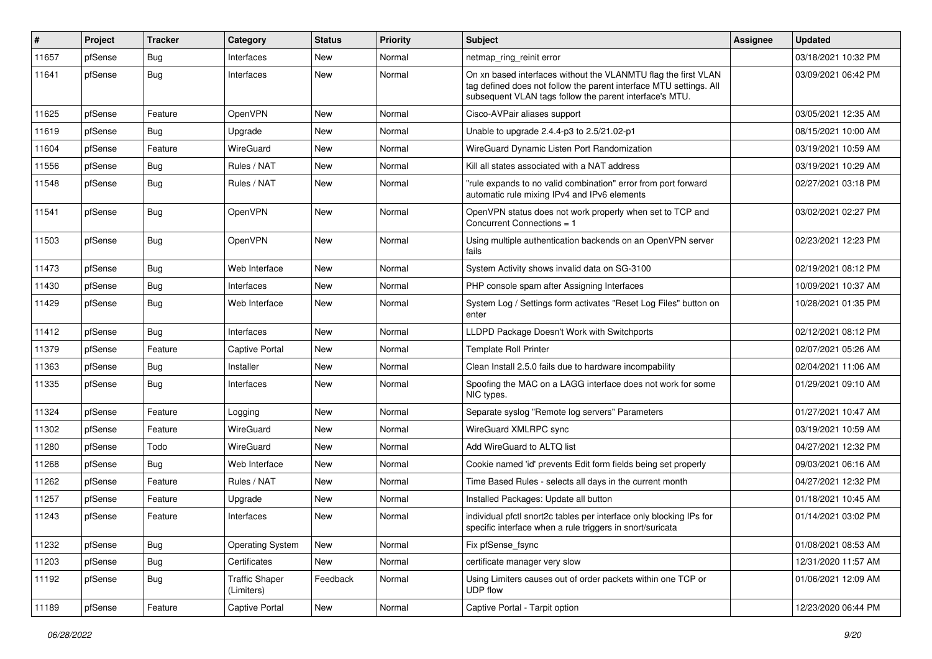| #     | Project | <b>Tracker</b> | Category                            | <b>Status</b> | <b>Priority</b> | Subject                                                                                                                                                                                         | <b>Assignee</b> | <b>Updated</b>      |
|-------|---------|----------------|-------------------------------------|---------------|-----------------|-------------------------------------------------------------------------------------------------------------------------------------------------------------------------------------------------|-----------------|---------------------|
| 11657 | pfSense | <b>Bug</b>     | Interfaces                          | New           | Normal          | netmap_ring_reinit error                                                                                                                                                                        |                 | 03/18/2021 10:32 PM |
| 11641 | pfSense | <b>Bug</b>     | Interfaces                          | <b>New</b>    | Normal          | On xn based interfaces without the VLANMTU flag the first VLAN<br>tag defined does not follow the parent interface MTU settings. All<br>subsequent VLAN tags follow the parent interface's MTU. |                 | 03/09/2021 06:42 PM |
| 11625 | pfSense | Feature        | OpenVPN                             | <b>New</b>    | Normal          | Cisco-AVPair aliases support                                                                                                                                                                    |                 | 03/05/2021 12:35 AM |
| 11619 | pfSense | Bug            | Upgrade                             | New           | Normal          | Unable to upgrade 2.4.4-p3 to 2.5/21.02-p1                                                                                                                                                      |                 | 08/15/2021 10:00 AM |
| 11604 | pfSense | Feature        | WireGuard                           | New           | Normal          | WireGuard Dynamic Listen Port Randomization                                                                                                                                                     |                 | 03/19/2021 10:59 AM |
| 11556 | pfSense | <b>Bug</b>     | Rules / NAT                         | <b>New</b>    | Normal          | Kill all states associated with a NAT address                                                                                                                                                   |                 | 03/19/2021 10:29 AM |
| 11548 | pfSense | <b>Bug</b>     | Rules / NAT                         | New           | Normal          | "rule expands to no valid combination" error from port forward<br>automatic rule mixing IPv4 and IPv6 elements                                                                                  |                 | 02/27/2021 03:18 PM |
| 11541 | pfSense | <b>Bug</b>     | OpenVPN                             | New           | Normal          | OpenVPN status does not work properly when set to TCP and<br>Concurrent Connections = 1                                                                                                         |                 | 03/02/2021 02:27 PM |
| 11503 | pfSense | <b>Bug</b>     | OpenVPN                             | <b>New</b>    | Normal          | Using multiple authentication backends on an OpenVPN server<br>fails                                                                                                                            |                 | 02/23/2021 12:23 PM |
| 11473 | pfSense | <b>Bug</b>     | Web Interface                       | <b>New</b>    | Normal          | System Activity shows invalid data on SG-3100                                                                                                                                                   |                 | 02/19/2021 08:12 PM |
| 11430 | pfSense | <b>Bug</b>     | Interfaces                          | <b>New</b>    | Normal          | PHP console spam after Assigning Interfaces                                                                                                                                                     |                 | 10/09/2021 10:37 AM |
| 11429 | pfSense | <b>Bug</b>     | Web Interface                       | <b>New</b>    | Normal          | System Log / Settings form activates "Reset Log Files" button on<br>enter                                                                                                                       |                 | 10/28/2021 01:35 PM |
| 11412 | pfSense | <b>Bug</b>     | Interfaces                          | <b>New</b>    | Normal          | LLDPD Package Doesn't Work with Switchports                                                                                                                                                     |                 | 02/12/2021 08:12 PM |
| 11379 | pfSense | Feature        | <b>Captive Portal</b>               | New           | Normal          | <b>Template Roll Printer</b>                                                                                                                                                                    |                 | 02/07/2021 05:26 AM |
| 11363 | pfSense | <b>Bug</b>     | Installer                           | <b>New</b>    | Normal          | Clean Install 2.5.0 fails due to hardware incompability                                                                                                                                         |                 | 02/04/2021 11:06 AM |
| 11335 | pfSense | <b>Bug</b>     | Interfaces                          | New           | Normal          | Spoofing the MAC on a LAGG interface does not work for some<br>NIC types.                                                                                                                       |                 | 01/29/2021 09:10 AM |
| 11324 | pfSense | Feature        | Logging                             | New           | Normal          | Separate syslog "Remote log servers" Parameters                                                                                                                                                 |                 | 01/27/2021 10:47 AM |
| 11302 | pfSense | Feature        | WireGuard                           | <b>New</b>    | Normal          | WireGuard XMLRPC sync                                                                                                                                                                           |                 | 03/19/2021 10:59 AM |
| 11280 | pfSense | Todo           | WireGuard                           | New           | Normal          | Add WireGuard to ALTQ list                                                                                                                                                                      |                 | 04/27/2021 12:32 PM |
| 11268 | pfSense | <b>Bug</b>     | Web Interface                       | <b>New</b>    | Normal          | Cookie named 'id' prevents Edit form fields being set properly                                                                                                                                  |                 | 09/03/2021 06:16 AM |
| 11262 | pfSense | Feature        | Rules / NAT                         | New           | Normal          | Time Based Rules - selects all days in the current month                                                                                                                                        |                 | 04/27/2021 12:32 PM |
| 11257 | pfSense | Feature        | Upgrade                             | New           | Normal          | Installed Packages: Update all button                                                                                                                                                           |                 | 01/18/2021 10:45 AM |
| 11243 | pfSense | Feature        | Interfaces                          | <b>New</b>    | Normal          | individual pfctl snort2c tables per interface only blocking IPs for<br>specific interface when a rule triggers in snort/suricata                                                                |                 | 01/14/2021 03:02 PM |
| 11232 | pfSense | <b>Bug</b>     | <b>Operating System</b>             | New           | Normal          | Fix pfSense_fsync                                                                                                                                                                               |                 | 01/08/2021 08:53 AM |
| 11203 | pfSense | <b>Bug</b>     | Certificates                        | New           | Normal          | certificate manager very slow                                                                                                                                                                   |                 | 12/31/2020 11:57 AM |
| 11192 | pfSense | <b>Bug</b>     | <b>Traffic Shaper</b><br>(Limiters) | Feedback      | Normal          | Using Limiters causes out of order packets within one TCP or<br>UDP flow                                                                                                                        |                 | 01/06/2021 12:09 AM |
| 11189 | pfSense | Feature        | Captive Portal                      | New           | Normal          | Captive Portal - Tarpit option                                                                                                                                                                  |                 | 12/23/2020 06:44 PM |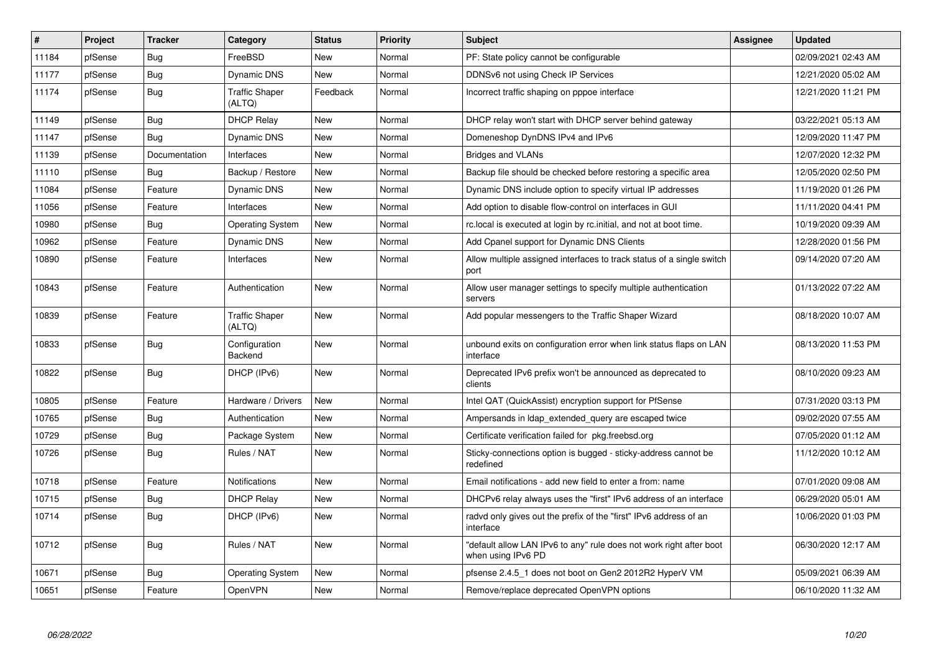| #     | Project | <b>Tracker</b> | Category                        | <b>Status</b> | <b>Priority</b> | <b>Subject</b>                                                                            | <b>Assignee</b> | <b>Updated</b>      |
|-------|---------|----------------|---------------------------------|---------------|-----------------|-------------------------------------------------------------------------------------------|-----------------|---------------------|
| 11184 | pfSense | Bug            | FreeBSD                         | <b>New</b>    | Normal          | PF: State policy cannot be configurable                                                   |                 | 02/09/2021 02:43 AM |
| 11177 | pfSense | Bug            | <b>Dynamic DNS</b>              | <b>New</b>    | Normal          | DDNSv6 not using Check IP Services                                                        |                 | 12/21/2020 05:02 AM |
| 11174 | pfSense | <b>Bug</b>     | <b>Traffic Shaper</b><br>(ALTQ) | Feedback      | Normal          | Incorrect traffic shaping on pppoe interface                                              |                 | 12/21/2020 11:21 PM |
| 11149 | pfSense | <b>Bug</b>     | <b>DHCP Relay</b>               | <b>New</b>    | Normal          | DHCP relay won't start with DHCP server behind gateway                                    |                 | 03/22/2021 05:13 AM |
| 11147 | pfSense | Bug            | Dynamic DNS                     | <b>New</b>    | Normal          | Domeneshop DynDNS IPv4 and IPv6                                                           |                 | 12/09/2020 11:47 PM |
| 11139 | pfSense | Documentation  | Interfaces                      | <b>New</b>    | Normal          | <b>Bridges and VLANs</b>                                                                  |                 | 12/07/2020 12:32 PM |
| 11110 | pfSense | Bug            | Backup / Restore                | <b>New</b>    | Normal          | Backup file should be checked before restoring a specific area                            |                 | 12/05/2020 02:50 PM |
| 11084 | pfSense | Feature        | <b>Dynamic DNS</b>              | <b>New</b>    | Normal          | Dynamic DNS include option to specify virtual IP addresses                                |                 | 11/19/2020 01:26 PM |
| 11056 | pfSense | Feature        | Interfaces                      | <b>New</b>    | Normal          | Add option to disable flow-control on interfaces in GUI                                   |                 | 11/11/2020 04:41 PM |
| 10980 | pfSense | <b>Bug</b>     | <b>Operating System</b>         | <b>New</b>    | Normal          | rc.local is executed at login by rc.initial, and not at boot time.                        |                 | 10/19/2020 09:39 AM |
| 10962 | pfSense | Feature        | <b>Dynamic DNS</b>              | <b>New</b>    | Normal          | Add Cpanel support for Dynamic DNS Clients                                                |                 | 12/28/2020 01:56 PM |
| 10890 | pfSense | Feature        | Interfaces                      | New           | Normal          | Allow multiple assigned interfaces to track status of a single switch<br>port             |                 | 09/14/2020 07:20 AM |
| 10843 | pfSense | Feature        | Authentication                  | <b>New</b>    | Normal          | Allow user manager settings to specify multiple authentication<br>servers                 |                 | 01/13/2022 07:22 AM |
| 10839 | pfSense | Feature        | <b>Traffic Shaper</b><br>(ALTQ) | <b>New</b>    | Normal          | Add popular messengers to the Traffic Shaper Wizard                                       |                 | 08/18/2020 10:07 AM |
| 10833 | pfSense | <b>Bug</b>     | Configuration<br>Backend        | <b>New</b>    | Normal          | unbound exits on configuration error when link status flaps on LAN<br>interface           |                 | 08/13/2020 11:53 PM |
| 10822 | pfSense | Bug            | DHCP (IPv6)                     | <b>New</b>    | Normal          | Deprecated IPv6 prefix won't be announced as deprecated to<br>clients                     |                 | 08/10/2020 09:23 AM |
| 10805 | pfSense | Feature        | Hardware / Drivers              | <b>New</b>    | Normal          | Intel QAT (QuickAssist) encryption support for PfSense                                    |                 | 07/31/2020 03:13 PM |
| 10765 | pfSense | Bug            | Authentication                  | <b>New</b>    | Normal          | Ampersands in Idap_extended_query are escaped twice                                       |                 | 09/02/2020 07:55 AM |
| 10729 | pfSense | Bug            | Package System                  | <b>New</b>    | Normal          | Certificate verification failed for pkg.freebsd.org                                       |                 | 07/05/2020 01:12 AM |
| 10726 | pfSense | <b>Bug</b>     | Rules / NAT                     | <b>New</b>    | Normal          | Sticky-connections option is bugged - sticky-address cannot be<br>redefined               |                 | 11/12/2020 10:12 AM |
| 10718 | pfSense | Feature        | <b>Notifications</b>            | <b>New</b>    | Normal          | Email notifications - add new field to enter a from: name                                 |                 | 07/01/2020 09:08 AM |
| 10715 | pfSense | Bug            | <b>DHCP Relay</b>               | <b>New</b>    | Normal          | DHCPv6 relay always uses the "first" IPv6 address of an interface                         |                 | 06/29/2020 05:01 AM |
| 10714 | pfSense | <b>Bug</b>     | DHCP (IPv6)                     | <b>New</b>    | Normal          | radvd only gives out the prefix of the "first" IPv6 address of an<br>interface            |                 | 10/06/2020 01:03 PM |
| 10712 | pfSense | Bug            | Rules / NAT                     | <b>New</b>    | Normal          | "default allow LAN IPv6 to any" rule does not work right after boot<br>when using IPv6 PD |                 | 06/30/2020 12:17 AM |
| 10671 | pfSense | <b>Bug</b>     | <b>Operating System</b>         | <b>New</b>    | Normal          | pfsense 2.4.5 1 does not boot on Gen2 2012R2 HyperV VM                                    |                 | 05/09/2021 06:39 AM |
| 10651 | pfSense | Feature        | OpenVPN                         | <b>New</b>    | Normal          | Remove/replace deprecated OpenVPN options                                                 |                 | 06/10/2020 11:32 AM |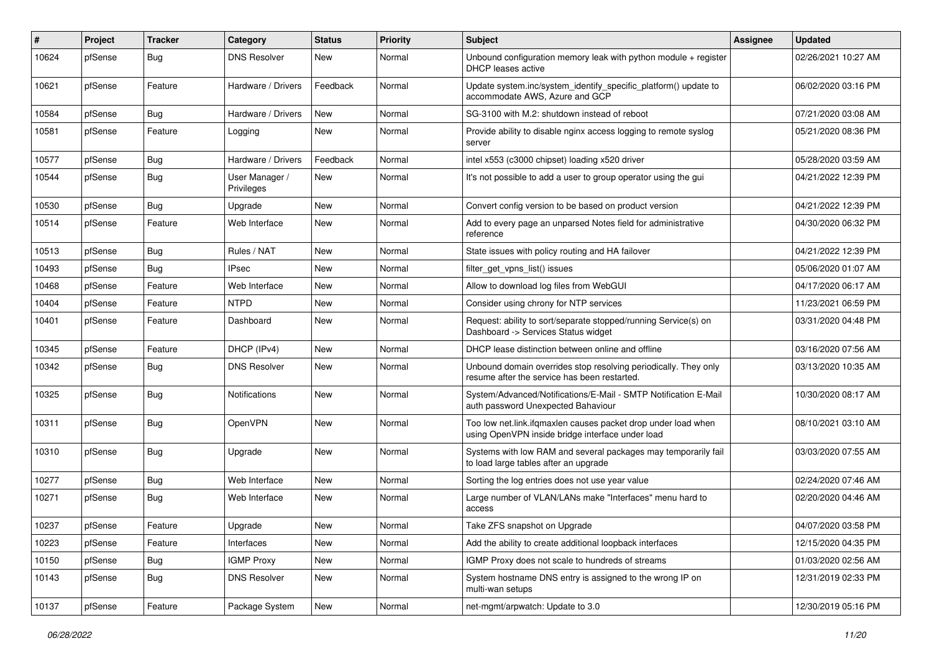| #     | Project | <b>Tracker</b> | Category                     | <b>Status</b> | <b>Priority</b> | <b>Subject</b>                                                                                                    | <b>Assignee</b> | <b>Updated</b>      |
|-------|---------|----------------|------------------------------|---------------|-----------------|-------------------------------------------------------------------------------------------------------------------|-----------------|---------------------|
| 10624 | pfSense | Bug            | <b>DNS Resolver</b>          | New           | Normal          | Unbound configuration memory leak with python module $+$ register<br>DHCP leases active                           |                 | 02/26/2021 10:27 AM |
| 10621 | pfSense | Feature        | Hardware / Drivers           | Feedback      | Normal          | Update system.inc/system_identify_specific_platform() update to<br>accommodate AWS, Azure and GCP                 |                 | 06/02/2020 03:16 PM |
| 10584 | pfSense | Bug            | Hardware / Drivers           | <b>New</b>    | Normal          | SG-3100 with M.2: shutdown instead of reboot                                                                      |                 | 07/21/2020 03:08 AM |
| 10581 | pfSense | Feature        | Logging                      | <b>New</b>    | Normal          | Provide ability to disable nginx access logging to remote syslog<br>server                                        |                 | 05/21/2020 08:36 PM |
| 10577 | pfSense | <b>Bug</b>     | Hardware / Drivers           | Feedback      | Normal          | intel x553 (c3000 chipset) loading x520 driver                                                                    |                 | 05/28/2020 03:59 AM |
| 10544 | pfSense | <b>Bug</b>     | User Manager /<br>Privileges | New           | Normal          | It's not possible to add a user to group operator using the gui                                                   |                 | 04/21/2022 12:39 PM |
| 10530 | pfSense | <b>Bug</b>     | Upgrade                      | <b>New</b>    | Normal          | Convert config version to be based on product version                                                             |                 | 04/21/2022 12:39 PM |
| 10514 | pfSense | Feature        | Web Interface                | <b>New</b>    | Normal          | Add to every page an unparsed Notes field for administrative<br>reference                                         |                 | 04/30/2020 06:32 PM |
| 10513 | pfSense | Bug            | Rules / NAT                  | New           | Normal          | State issues with policy routing and HA failover                                                                  |                 | 04/21/2022 12:39 PM |
| 10493 | pfSense | <b>Bug</b>     | IPsec                        | New           | Normal          | filter_get_vpns_list() issues                                                                                     |                 | 05/06/2020 01:07 AM |
| 10468 | pfSense | Feature        | Web Interface                | <b>New</b>    | Normal          | Allow to download log files from WebGUI                                                                           |                 | 04/17/2020 06:17 AM |
| 10404 | pfSense | Feature        | <b>NTPD</b>                  | New           | Normal          | Consider using chrony for NTP services                                                                            |                 | 11/23/2021 06:59 PM |
| 10401 | pfSense | Feature        | Dashboard                    | <b>New</b>    | Normal          | Request: ability to sort/separate stopped/running Service(s) on<br>Dashboard -> Services Status widget            |                 | 03/31/2020 04:48 PM |
| 10345 | pfSense | Feature        | DHCP (IPv4)                  | <b>New</b>    | Normal          | DHCP lease distinction between online and offline                                                                 |                 | 03/16/2020 07:56 AM |
| 10342 | pfSense | <b>Bug</b>     | <b>DNS Resolver</b>          | New           | Normal          | Unbound domain overrides stop resolving periodically. They only<br>resume after the service has been restarted.   |                 | 03/13/2020 10:35 AM |
| 10325 | pfSense | Bug            | <b>Notifications</b>         | <b>New</b>    | Normal          | System/Advanced/Notifications/E-Mail - SMTP Notification E-Mail<br>auth password Unexpected Bahaviour             |                 | 10/30/2020 08:17 AM |
| 10311 | pfSense | Bug            | OpenVPN                      | <b>New</b>    | Normal          | Too low net.link.ifqmaxlen causes packet drop under load when<br>using OpenVPN inside bridge interface under load |                 | 08/10/2021 03:10 AM |
| 10310 | pfSense | <b>Bug</b>     | Upgrade                      | <b>New</b>    | Normal          | Systems with low RAM and several packages may temporarily fail<br>to load large tables after an upgrade           |                 | 03/03/2020 07:55 AM |
| 10277 | pfSense | <b>Bug</b>     | Web Interface                | <b>New</b>    | Normal          | Sorting the log entries does not use year value                                                                   |                 | 02/24/2020 07:46 AM |
| 10271 | pfSense | Bug            | Web Interface                | New           | Normal          | Large number of VLAN/LANs make "Interfaces" menu hard to<br>access                                                |                 | 02/20/2020 04:46 AM |
| 10237 | pfSense | Feature        | Upgrade                      | New           | Normal          | Take ZFS snapshot on Upgrade                                                                                      |                 | 04/07/2020 03:58 PM |
| 10223 | pfSense | Feature        | Interfaces                   | New           | Normal          | Add the ability to create additional loopback interfaces                                                          |                 | 12/15/2020 04:35 PM |
| 10150 | pfSense | <b>Bug</b>     | <b>IGMP Proxy</b>            | New           | Normal          | IGMP Proxy does not scale to hundreds of streams                                                                  |                 | 01/03/2020 02:56 AM |
| 10143 | pfSense | Bug            | <b>DNS Resolver</b>          | New           | Normal          | System hostname DNS entry is assigned to the wrong IP on<br>multi-wan setups                                      |                 | 12/31/2019 02:33 PM |
| 10137 | pfSense | Feature        | Package System               | New           | Normal          | net-mgmt/arpwatch: Update to 3.0                                                                                  |                 | 12/30/2019 05:16 PM |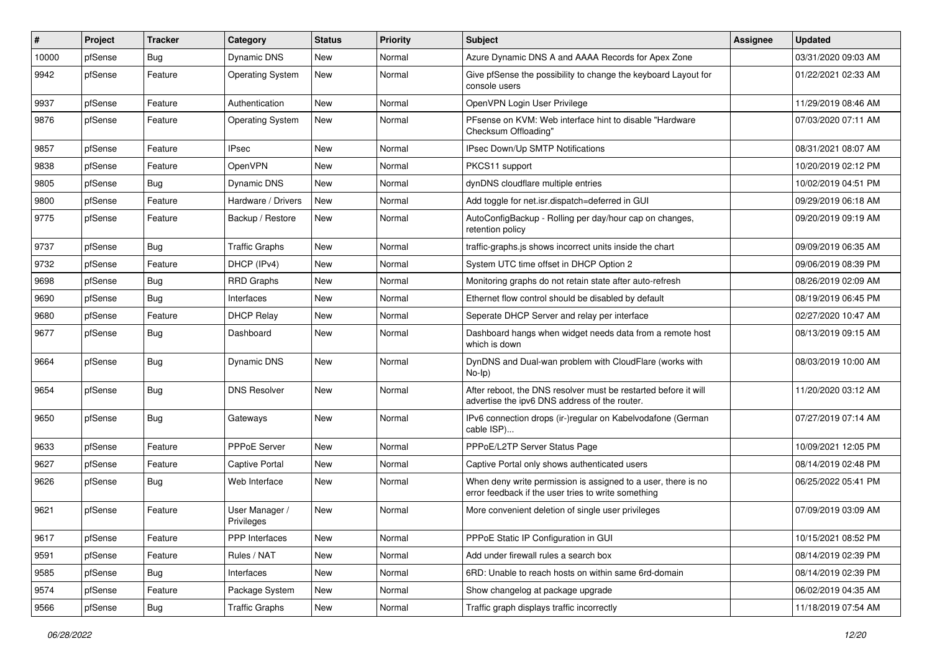| #     | Project | <b>Tracker</b> | Category                     | <b>Status</b> | <b>Priority</b> | Subject                                                                                                              | Assignee | <b>Updated</b>      |
|-------|---------|----------------|------------------------------|---------------|-----------------|----------------------------------------------------------------------------------------------------------------------|----------|---------------------|
| 10000 | pfSense | <b>Bug</b>     | Dynamic DNS                  | New           | Normal          | Azure Dynamic DNS A and AAAA Records for Apex Zone                                                                   |          | 03/31/2020 09:03 AM |
| 9942  | pfSense | Feature        | <b>Operating System</b>      | <b>New</b>    | Normal          | Give pfSense the possibility to change the keyboard Layout for<br>console users                                      |          | 01/22/2021 02:33 AM |
| 9937  | pfSense | Feature        | Authentication               | <b>New</b>    | Normal          | OpenVPN Login User Privilege                                                                                         |          | 11/29/2019 08:46 AM |
| 9876  | pfSense | Feature        | <b>Operating System</b>      | New           | Normal          | PFsense on KVM: Web interface hint to disable "Hardware"<br>Checksum Offloading"                                     |          | 07/03/2020 07:11 AM |
| 9857  | pfSense | Feature        | <b>IPsec</b>                 | <b>New</b>    | Normal          | IPsec Down/Up SMTP Notifications                                                                                     |          | 08/31/2021 08:07 AM |
| 9838  | pfSense | Feature        | OpenVPN                      | <b>New</b>    | Normal          | PKCS11 support                                                                                                       |          | 10/20/2019 02:12 PM |
| 9805  | pfSense | <b>Bug</b>     | Dynamic DNS                  | New           | Normal          | dynDNS cloudflare multiple entries                                                                                   |          | 10/02/2019 04:51 PM |
| 9800  | pfSense | Feature        | Hardware / Drivers           | <b>New</b>    | Normal          | Add toggle for net.isr.dispatch=deferred in GUI                                                                      |          | 09/29/2019 06:18 AM |
| 9775  | pfSense | Feature        | Backup / Restore             | New           | Normal          | AutoConfigBackup - Rolling per day/hour cap on changes,<br>retention policy                                          |          | 09/20/2019 09:19 AM |
| 9737  | pfSense | <b>Bug</b>     | <b>Traffic Graphs</b>        | New           | Normal          | traffic-graphs is shows incorrect units inside the chart                                                             |          | 09/09/2019 06:35 AM |
| 9732  | pfSense | Feature        | DHCP (IPv4)                  | <b>New</b>    | Normal          | System UTC time offset in DHCP Option 2                                                                              |          | 09/06/2019 08:39 PM |
| 9698  | pfSense | <b>Bug</b>     | <b>RRD Graphs</b>            | New           | Normal          | Monitoring graphs do not retain state after auto-refresh                                                             |          | 08/26/2019 02:09 AM |
| 9690  | pfSense | <b>Bug</b>     | Interfaces                   | <b>New</b>    | Normal          | Ethernet flow control should be disabled by default                                                                  |          | 08/19/2019 06:45 PM |
| 9680  | pfSense | Feature        | <b>DHCP Relay</b>            | New           | Normal          | Seperate DHCP Server and relay per interface                                                                         |          | 02/27/2020 10:47 AM |
| 9677  | pfSense | <b>Bug</b>     | Dashboard                    | <b>New</b>    | Normal          | Dashboard hangs when widget needs data from a remote host<br>which is down                                           |          | 08/13/2019 09:15 AM |
| 9664  | pfSense | <b>Bug</b>     | Dynamic DNS                  | <b>New</b>    | Normal          | DynDNS and Dual-wan problem with CloudFlare (works with<br>$No-Ip)$                                                  |          | 08/03/2019 10:00 AM |
| 9654  | pfSense | Bug            | <b>DNS Resolver</b>          | <b>New</b>    | Normal          | After reboot, the DNS resolver must be restarted before it will<br>advertise the ipv6 DNS address of the router.     |          | 11/20/2020 03:12 AM |
| 9650  | pfSense | <b>Bug</b>     | Gateways                     | <b>New</b>    | Normal          | IPv6 connection drops (ir-)regular on Kabelvodafone (German<br>cable ISP)                                            |          | 07/27/2019 07:14 AM |
| 9633  | pfSense | Feature        | PPPoE Server                 | New           | Normal          | PPPoE/L2TP Server Status Page                                                                                        |          | 10/09/2021 12:05 PM |
| 9627  | pfSense | Feature        | <b>Captive Portal</b>        | <b>New</b>    | Normal          | Captive Portal only shows authenticated users                                                                        |          | 08/14/2019 02:48 PM |
| 9626  | pfSense | <b>Bug</b>     | Web Interface                | New           | Normal          | When deny write permission is assigned to a user, there is no<br>error feedback if the user tries to write something |          | 06/25/2022 05:41 PM |
| 9621  | pfSense | Feature        | User Manager /<br>Privileges | New           | Normal          | More convenient deletion of single user privileges                                                                   |          | 07/09/2019 03:09 AM |
| 9617  | pfSense | Feature        | PPP Interfaces               | New           | Normal          | PPPoE Static IP Configuration in GUI                                                                                 |          | 10/15/2021 08:52 PM |
| 9591  | pfSense | Feature        | Rules / NAT                  | New           | Normal          | Add under firewall rules a search box                                                                                |          | 08/14/2019 02:39 PM |
| 9585  | pfSense | <b>Bug</b>     | Interfaces                   | New           | Normal          | 6RD: Unable to reach hosts on within same 6rd-domain                                                                 |          | 08/14/2019 02:39 PM |
| 9574  | pfSense | Feature        | Package System               | New           | Normal          | Show changelog at package upgrade                                                                                    |          | 06/02/2019 04:35 AM |
| 9566  | pfSense | Bug            | <b>Traffic Graphs</b>        | New           | Normal          | Traffic graph displays traffic incorrectly                                                                           |          | 11/18/2019 07:54 AM |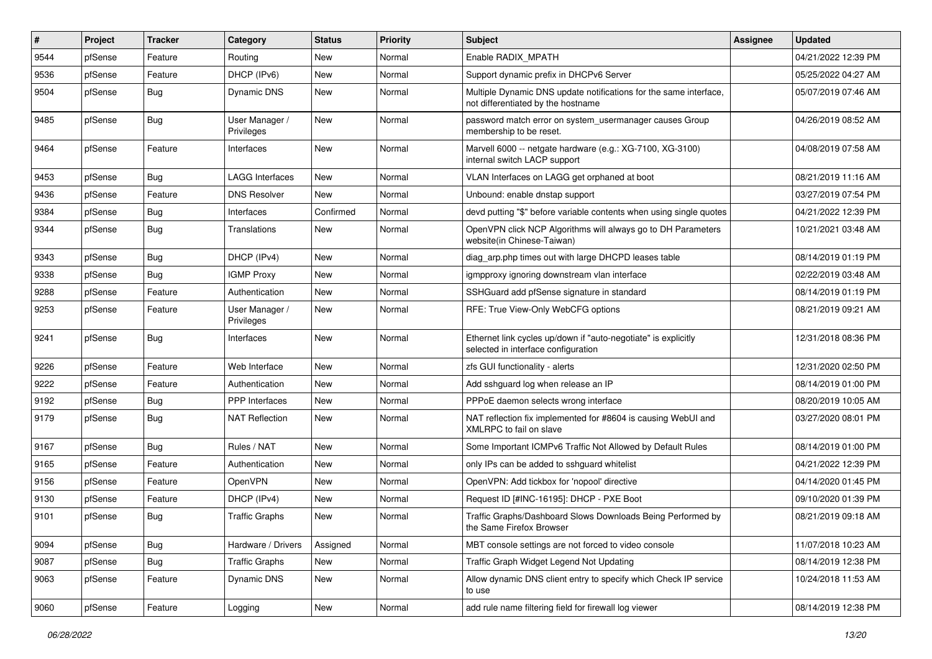| #    | Project | <b>Tracker</b> | Category                     | <b>Status</b> | <b>Priority</b> | Subject                                                                                                 | <b>Assignee</b> | <b>Updated</b>      |
|------|---------|----------------|------------------------------|---------------|-----------------|---------------------------------------------------------------------------------------------------------|-----------------|---------------------|
| 9544 | pfSense | Feature        | Routing                      | New           | Normal          | Enable RADIX_MPATH                                                                                      |                 | 04/21/2022 12:39 PM |
| 9536 | pfSense | Feature        | DHCP (IPv6)                  | <b>New</b>    | Normal          | Support dynamic prefix in DHCPv6 Server                                                                 |                 | 05/25/2022 04:27 AM |
| 9504 | pfSense | Bug            | Dynamic DNS                  | New           | Normal          | Multiple Dynamic DNS update notifications for the same interface,<br>not differentiated by the hostname |                 | 05/07/2019 07:46 AM |
| 9485 | pfSense | <b>Bug</b>     | User Manager /<br>Privileges | New           | Normal          | password match error on system_usermanager causes Group<br>membership to be reset.                      |                 | 04/26/2019 08:52 AM |
| 9464 | pfSense | Feature        | Interfaces                   | <b>New</b>    | Normal          | Marvell 6000 -- netgate hardware (e.g.: XG-7100, XG-3100)<br>internal switch LACP support               |                 | 04/08/2019 07:58 AM |
| 9453 | pfSense | <b>Bug</b>     | <b>LAGG Interfaces</b>       | <b>New</b>    | Normal          | VLAN Interfaces on LAGG get orphaned at boot                                                            |                 | 08/21/2019 11:16 AM |
| 9436 | pfSense | Feature        | <b>DNS Resolver</b>          | <b>New</b>    | Normal          | Unbound: enable dnstap support                                                                          |                 | 03/27/2019 07:54 PM |
| 9384 | pfSense | <b>Bug</b>     | Interfaces                   | Confirmed     | Normal          | devd putting "\$" before variable contents when using single quotes                                     |                 | 04/21/2022 12:39 PM |
| 9344 | pfSense | Bug            | Translations                 | <b>New</b>    | Normal          | OpenVPN click NCP Algorithms will always go to DH Parameters<br>website(in Chinese-Taiwan)              |                 | 10/21/2021 03:48 AM |
| 9343 | pfSense | Bug            | DHCP (IPv4)                  | New           | Normal          | diag arp.php times out with large DHCPD leases table                                                    |                 | 08/14/2019 01:19 PM |
| 9338 | pfSense | <b>Bug</b>     | <b>IGMP Proxy</b>            | <b>New</b>    | Normal          | igmpproxy ignoring downstream vlan interface                                                            |                 | 02/22/2019 03:48 AM |
| 9288 | pfSense | Feature        | Authentication               | <b>New</b>    | Normal          | SSHGuard add pfSense signature in standard                                                              |                 | 08/14/2019 01:19 PM |
| 9253 | pfSense | Feature        | User Manager /<br>Privileges | New           | Normal          | RFE: True View-Only WebCFG options                                                                      |                 | 08/21/2019 09:21 AM |
| 9241 | pfSense | Bug            | Interfaces                   | <b>New</b>    | Normal          | Ethernet link cycles up/down if "auto-negotiate" is explicitly<br>selected in interface configuration   |                 | 12/31/2018 08:36 PM |
| 9226 | pfSense | Feature        | Web Interface                | <b>New</b>    | Normal          | zfs GUI functionality - alerts                                                                          |                 | 12/31/2020 02:50 PM |
| 9222 | pfSense | Feature        | Authentication               | New           | Normal          | Add sshguard log when release an IP                                                                     |                 | 08/14/2019 01:00 PM |
| 9192 | pfSense | <b>Bug</b>     | <b>PPP</b> Interfaces        | <b>New</b>    | Normal          | PPPoE daemon selects wrong interface                                                                    |                 | 08/20/2019 10:05 AM |
| 9179 | pfSense | Bug            | <b>NAT Reflection</b>        | <b>New</b>    | Normal          | NAT reflection fix implemented for #8604 is causing WebUI and<br>XMLRPC to fail on slave                |                 | 03/27/2020 08:01 PM |
| 9167 | pfSense | Bug            | Rules / NAT                  | New           | Normal          | Some Important ICMPv6 Traffic Not Allowed by Default Rules                                              |                 | 08/14/2019 01:00 PM |
| 9165 | pfSense | Feature        | Authentication               | <b>New</b>    | Normal          | only IPs can be added to sshguard whitelist                                                             |                 | 04/21/2022 12:39 PM |
| 9156 | pfSense | Feature        | OpenVPN                      | New           | Normal          | OpenVPN: Add tickbox for 'nopool' directive                                                             |                 | 04/14/2020 01:45 PM |
| 9130 | pfSense | Feature        | DHCP (IPv4)                  | New           | Normal          | Request ID [#INC-16195]: DHCP - PXE Boot                                                                |                 | 09/10/2020 01:39 PM |
| 9101 | pfSense | <b>Bug</b>     | <b>Traffic Graphs</b>        | New           | Normal          | Traffic Graphs/Dashboard Slows Downloads Being Performed by<br>the Same Firefox Browser                 |                 | 08/21/2019 09:18 AM |
| 9094 | pfSense | <b>Bug</b>     | Hardware / Drivers           | Assigned      | Normal          | MBT console settings are not forced to video console                                                    |                 | 11/07/2018 10:23 AM |
| 9087 | pfSense | <b>Bug</b>     | <b>Traffic Graphs</b>        | New           | Normal          | Traffic Graph Widget Legend Not Updating                                                                |                 | 08/14/2019 12:38 PM |
| 9063 | pfSense | Feature        | Dynamic DNS                  | New           | Normal          | Allow dynamic DNS client entry to specify which Check IP service<br>to use                              |                 | 10/24/2018 11:53 AM |
| 9060 | pfSense | Feature        | Logging                      | New           | Normal          | add rule name filtering field for firewall log viewer                                                   |                 | 08/14/2019 12:38 PM |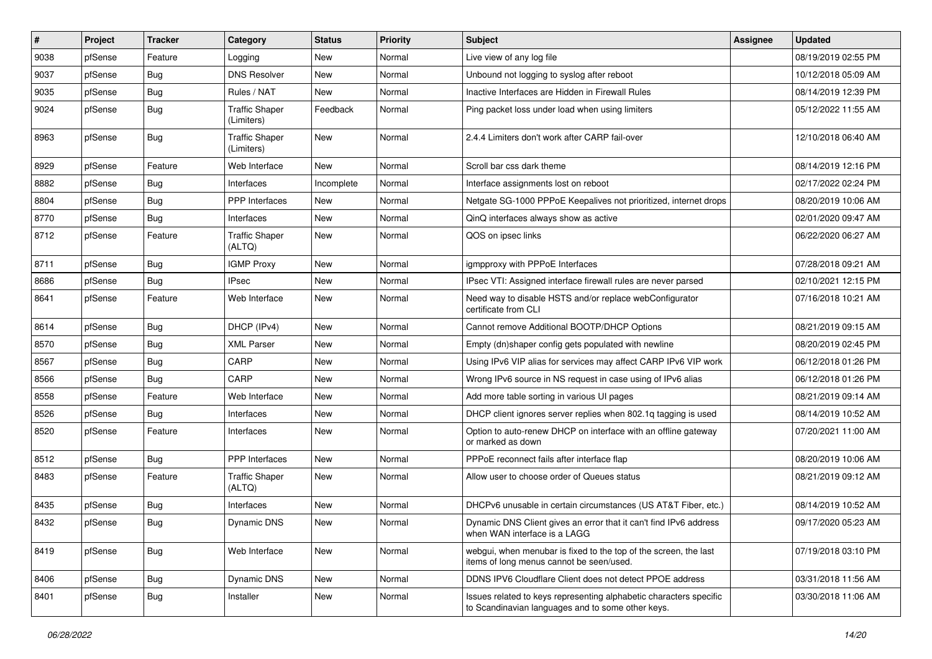| #    | Project | <b>Tracker</b> | Category                            | <b>Status</b> | <b>Priority</b> | Subject                                                                                                                 | <b>Assignee</b> | <b>Updated</b>      |
|------|---------|----------------|-------------------------------------|---------------|-----------------|-------------------------------------------------------------------------------------------------------------------------|-----------------|---------------------|
| 9038 | pfSense | Feature        | Logging                             | <b>New</b>    | Normal          | Live view of any log file                                                                                               |                 | 08/19/2019 02:55 PM |
| 9037 | pfSense | Bug            | <b>DNS Resolver</b>                 | <b>New</b>    | Normal          | Unbound not logging to syslog after reboot                                                                              |                 | 10/12/2018 05:09 AM |
| 9035 | pfSense | <b>Bug</b>     | Rules / NAT                         | <b>New</b>    | Normal          | Inactive Interfaces are Hidden in Firewall Rules                                                                        |                 | 08/14/2019 12:39 PM |
| 9024 | pfSense | <b>Bug</b>     | <b>Traffic Shaper</b><br>(Limiters) | Feedback      | Normal          | Ping packet loss under load when using limiters                                                                         |                 | 05/12/2022 11:55 AM |
| 8963 | pfSense | Bug            | <b>Traffic Shaper</b><br>(Limiters) | New           | Normal          | 2.4.4 Limiters don't work after CARP fail-over                                                                          |                 | 12/10/2018 06:40 AM |
| 8929 | pfSense | Feature        | Web Interface                       | <b>New</b>    | Normal          | Scroll bar css dark theme                                                                                               |                 | 08/14/2019 12:16 PM |
| 8882 | pfSense | <b>Bug</b>     | Interfaces                          | Incomplete    | Normal          | Interface assignments lost on reboot                                                                                    |                 | 02/17/2022 02:24 PM |
| 8804 | pfSense | <b>Bug</b>     | <b>PPP</b> Interfaces               | <b>New</b>    | Normal          | Netgate SG-1000 PPPoE Keepalives not prioritized, internet drops                                                        |                 | 08/20/2019 10:06 AM |
| 8770 | pfSense | <b>Bug</b>     | Interfaces                          | <b>New</b>    | Normal          | QinQ interfaces always show as active                                                                                   |                 | 02/01/2020 09:47 AM |
| 8712 | pfSense | Feature        | <b>Traffic Shaper</b><br>(ALTQ)     | <b>New</b>    | Normal          | QOS on ipsec links                                                                                                      |                 | 06/22/2020 06:27 AM |
| 8711 | pfSense | Bug            | <b>IGMP Proxy</b>                   | <b>New</b>    | Normal          | igmpproxy with PPPoE Interfaces                                                                                         |                 | 07/28/2018 09:21 AM |
| 8686 | pfSense | <b>Bug</b>     | <b>IPsec</b>                        | <b>New</b>    | Normal          | IPsec VTI: Assigned interface firewall rules are never parsed                                                           |                 | 02/10/2021 12:15 PM |
| 8641 | pfSense | Feature        | Web Interface                       | <b>New</b>    | Normal          | Need way to disable HSTS and/or replace webConfigurator<br>certificate from CLI                                         |                 | 07/16/2018 10:21 AM |
| 8614 | pfSense | <b>Bug</b>     | DHCP (IPv4)                         | <b>New</b>    | Normal          | Cannot remove Additional BOOTP/DHCP Options                                                                             |                 | 08/21/2019 09:15 AM |
| 8570 | pfSense | Bug            | <b>XML Parser</b>                   | <b>New</b>    | Normal          | Empty (dn)shaper config gets populated with newline                                                                     |                 | 08/20/2019 02:45 PM |
| 8567 | pfSense | <b>Bug</b>     | CARP                                | <b>New</b>    | Normal          | Using IPv6 VIP alias for services may affect CARP IPv6 VIP work                                                         |                 | 06/12/2018 01:26 PM |
| 8566 | pfSense | Bug            | CARP                                | <b>New</b>    | Normal          | Wrong IPv6 source in NS request in case using of IPv6 alias                                                             |                 | 06/12/2018 01:26 PM |
| 8558 | pfSense | Feature        | Web Interface                       | <b>New</b>    | Normal          | Add more table sorting in various UI pages                                                                              |                 | 08/21/2019 09:14 AM |
| 8526 | pfSense | <b>Bug</b>     | Interfaces                          | <b>New</b>    | Normal          | DHCP client ignores server replies when 802.1q tagging is used                                                          |                 | 08/14/2019 10:52 AM |
| 8520 | pfSense | Feature        | Interfaces                          | <b>New</b>    | Normal          | Option to auto-renew DHCP on interface with an offline gateway<br>or marked as down                                     |                 | 07/20/2021 11:00 AM |
| 8512 | pfSense | <b>Bug</b>     | PPP Interfaces                      | <b>New</b>    | Normal          | PPPoE reconnect fails after interface flap                                                                              |                 | 08/20/2019 10:06 AM |
| 8483 | pfSense | Feature        | <b>Traffic Shaper</b><br>(ALTQ)     | New           | Normal          | Allow user to choose order of Queues status                                                                             |                 | 08/21/2019 09:12 AM |
| 8435 | pfSense | <b>Bug</b>     | Interfaces                          | <b>New</b>    | Normal          | DHCPv6 unusable in certain circumstances (US AT&T Fiber, etc.)                                                          |                 | 08/14/2019 10:52 AM |
| 8432 | pfSense | I Bug          | <b>Dynamic DNS</b>                  | New           | Normal          | Dynamic DNS Client gives an error that it can't find IPv6 address<br>when WAN interface is a LAGG                       |                 | 09/17/2020 05:23 AM |
| 8419 | pfSense | Bug            | Web Interface                       | New           | Normal          | webgui, when menubar is fixed to the top of the screen, the last<br>items of long menus cannot be seen/used.            |                 | 07/19/2018 03:10 PM |
| 8406 | pfSense | <b>Bug</b>     | Dynamic DNS                         | New           | Normal          | DDNS IPV6 Cloudflare Client does not detect PPOE address                                                                |                 | 03/31/2018 11:56 AM |
| 8401 | pfSense | Bug            | Installer                           | New           | Normal          | Issues related to keys representing alphabetic characters specific<br>to Scandinavian languages and to some other keys. |                 | 03/30/2018 11:06 AM |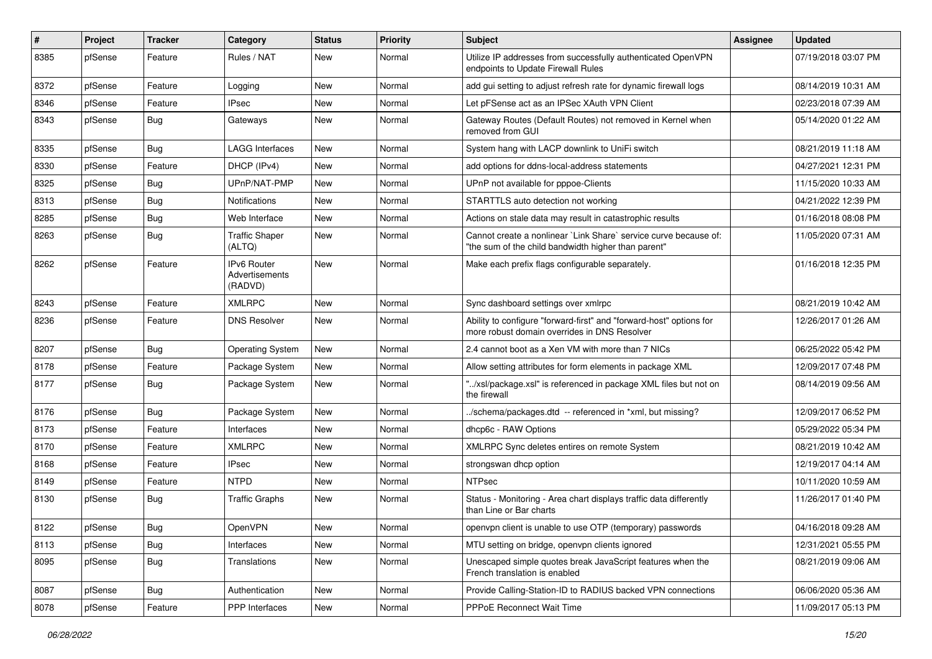| ∦    | Project | <b>Tracker</b> | Category                                 | <b>Status</b> | <b>Priority</b> | <b>Subject</b>                                                                                                          | <b>Assignee</b> | <b>Updated</b>      |
|------|---------|----------------|------------------------------------------|---------------|-----------------|-------------------------------------------------------------------------------------------------------------------------|-----------------|---------------------|
| 8385 | pfSense | Feature        | Rules / NAT                              | <b>New</b>    | Normal          | Utilize IP addresses from successfully authenticated OpenVPN<br>endpoints to Update Firewall Rules                      |                 | 07/19/2018 03:07 PM |
| 8372 | pfSense | Feature        | Logging                                  | <b>New</b>    | Normal          | add gui setting to adjust refresh rate for dynamic firewall logs                                                        |                 | 08/14/2019 10:31 AM |
| 8346 | pfSense | Feature        | IPsec                                    | <b>New</b>    | Normal          | Let pFSense act as an IPSec XAuth VPN Client                                                                            |                 | 02/23/2018 07:39 AM |
| 8343 | pfSense | Bug            | Gateways                                 | <b>New</b>    | Normal          | Gateway Routes (Default Routes) not removed in Kernel when<br>removed from GUI                                          |                 | 05/14/2020 01:22 AM |
| 8335 | pfSense | <b>Bug</b>     | LAGG Interfaces                          | <b>New</b>    | Normal          | System hang with LACP downlink to UniFi switch                                                                          |                 | 08/21/2019 11:18 AM |
| 8330 | pfSense | Feature        | DHCP (IPv4)                              | <b>New</b>    | Normal          | add options for ddns-local-address statements                                                                           |                 | 04/27/2021 12:31 PM |
| 8325 | pfSense | Bug            | UPnP/NAT-PMP                             | <b>New</b>    | Normal          | UPnP not available for pppoe-Clients                                                                                    |                 | 11/15/2020 10:33 AM |
| 8313 | pfSense | <b>Bug</b>     | Notifications                            | <b>New</b>    | Normal          | STARTTLS auto detection not working                                                                                     |                 | 04/21/2022 12:39 PM |
| 8285 | pfSense | <b>Bug</b>     | Web Interface                            | <b>New</b>    | Normal          | Actions on stale data may result in catastrophic results                                                                |                 | 01/16/2018 08:08 PM |
| 8263 | pfSense | <b>Bug</b>     | <b>Traffic Shaper</b><br>(ALTQ)          | <b>New</b>    | Normal          | Cannot create a nonlinear `Link Share` service curve because of:<br>"the sum of the child bandwidth higher than parent" |                 | 11/05/2020 07:31 AM |
| 8262 | pfSense | Feature        | IPv6 Router<br>Advertisements<br>(RADVD) | <b>New</b>    | Normal          | Make each prefix flags configurable separately.                                                                         |                 | 01/16/2018 12:35 PM |
| 8243 | pfSense | Feature        | <b>XMLRPC</b>                            | <b>New</b>    | Normal          | Sync dashboard settings over xmlrpc                                                                                     |                 | 08/21/2019 10:42 AM |
| 8236 | pfSense | Feature        | <b>DNS Resolver</b>                      | <b>New</b>    | Normal          | Ability to configure "forward-first" and "forward-host" options for<br>more robust domain overrides in DNS Resolver     |                 | 12/26/2017 01:26 AM |
| 8207 | pfSense | <b>Bug</b>     | <b>Operating System</b>                  | New           | Normal          | 2.4 cannot boot as a Xen VM with more than 7 NICs                                                                       |                 | 06/25/2022 05:42 PM |
| 8178 | pfSense | Feature        | Package System                           | <b>New</b>    | Normal          | Allow setting attributes for form elements in package XML                                                               |                 | 12/09/2017 07:48 PM |
| 8177 | pfSense | <b>Bug</b>     | Package System                           | New           | Normal          | "/xsl/package.xsl" is referenced in package XML files but not on<br>the firewall                                        |                 | 08/14/2019 09:56 AM |
| 8176 | pfSense | <b>Bug</b>     | Package System                           | <b>New</b>    | Normal          | ./schema/packages.dtd -- referenced in *xml, but missing?                                                               |                 | 12/09/2017 06:52 PM |
| 8173 | pfSense | Feature        | Interfaces                               | <b>New</b>    | Normal          | dhcp6c - RAW Options                                                                                                    |                 | 05/29/2022 05:34 PM |
| 8170 | pfSense | Feature        | <b>XMLRPC</b>                            | <b>New</b>    | Normal          | XMLRPC Sync deletes entires on remote System                                                                            |                 | 08/21/2019 10:42 AM |
| 8168 | pfSense | Feature        | <b>IPsec</b>                             | New           | Normal          | strongswan dhcp option                                                                                                  |                 | 12/19/2017 04:14 AM |
| 8149 | pfSense | Feature        | <b>NTPD</b>                              | <b>New</b>    | Normal          | <b>NTPsec</b>                                                                                                           |                 | 10/11/2020 10:59 AM |
| 8130 | pfSense | Bug            | <b>Traffic Graphs</b>                    | <b>New</b>    | Normal          | Status - Monitoring - Area chart displays traffic data differently<br>than Line or Bar charts                           |                 | 11/26/2017 01:40 PM |
| 8122 | pfSense | <b>Bug</b>     | OpenVPN                                  | New           | Normal          | openvpn client is unable to use OTP (temporary) passwords                                                               |                 | 04/16/2018 09:28 AM |
| 8113 | pfSense | <b>Bug</b>     | Interfaces                               | New           | Normal          | MTU setting on bridge, openvpn clients ignored                                                                          |                 | 12/31/2021 05:55 PM |
| 8095 | pfSense | <b>Bug</b>     | Translations                             | New           | Normal          | Unescaped simple quotes break JavaScript features when the<br>French translation is enabled                             |                 | 08/21/2019 09:06 AM |
| 8087 | pfSense | <b>Bug</b>     | Authentication                           | New           | Normal          | Provide Calling-Station-ID to RADIUS backed VPN connections                                                             |                 | 06/06/2020 05:36 AM |
| 8078 | pfSense | Feature        | PPP Interfaces                           | New           | Normal          | PPPoE Reconnect Wait Time                                                                                               |                 | 11/09/2017 05:13 PM |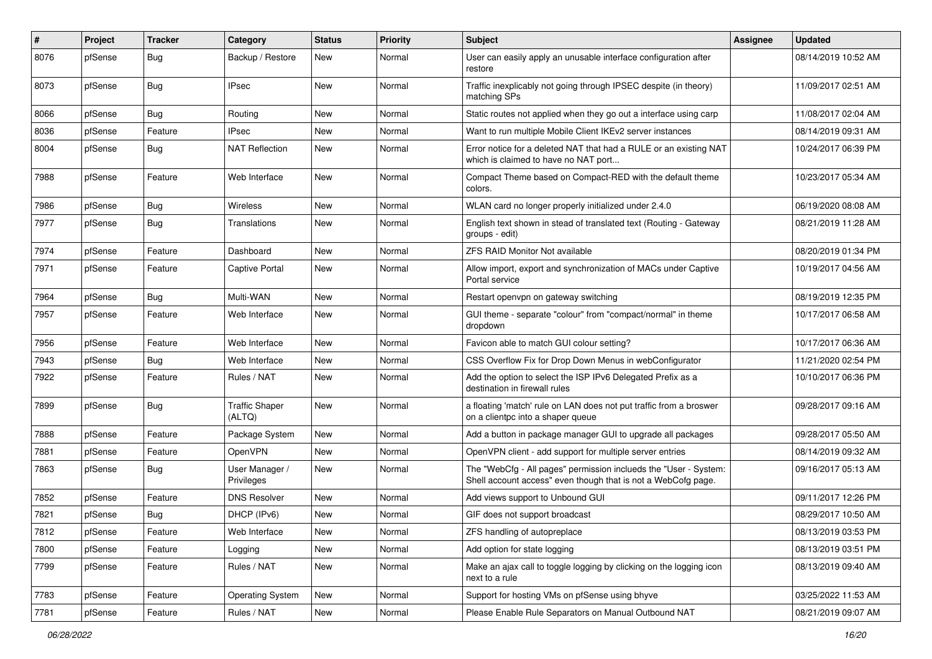| $\#$ | Project | <b>Tracker</b> | Category                        | <b>Status</b> | <b>Priority</b> | <b>Subject</b>                                                                                                                    | <b>Assignee</b> | <b>Updated</b>      |
|------|---------|----------------|---------------------------------|---------------|-----------------|-----------------------------------------------------------------------------------------------------------------------------------|-----------------|---------------------|
| 8076 | pfSense | Bug            | Backup / Restore                | New           | Normal          | User can easily apply an unusable interface configuration after<br>restore                                                        |                 | 08/14/2019 10:52 AM |
| 8073 | pfSense | Bug            | <b>IPsec</b>                    | <b>New</b>    | Normal          | Traffic inexplicably not going through IPSEC despite (in theory)<br>matching SPs                                                  |                 | 11/09/2017 02:51 AM |
| 8066 | pfSense | Bug            | Routing                         | <b>New</b>    | Normal          | Static routes not applied when they go out a interface using carp                                                                 |                 | 11/08/2017 02:04 AM |
| 8036 | pfSense | Feature        | <b>IPsec</b>                    | <b>New</b>    | Normal          | Want to run multiple Mobile Client IKEv2 server instances                                                                         |                 | 08/14/2019 09:31 AM |
| 8004 | pfSense | <b>Bug</b>     | <b>NAT Reflection</b>           | <b>New</b>    | Normal          | Error notice for a deleted NAT that had a RULE or an existing NAT<br>which is claimed to have no NAT port                         |                 | 10/24/2017 06:39 PM |
| 7988 | pfSense | Feature        | Web Interface                   | <b>New</b>    | Normal          | Compact Theme based on Compact-RED with the default theme<br>colors.                                                              |                 | 10/23/2017 05:34 AM |
| 7986 | pfSense | Bug            | <b>Wireless</b>                 | <b>New</b>    | Normal          | WLAN card no longer properly initialized under 2.4.0                                                                              |                 | 06/19/2020 08:08 AM |
| 7977 | pfSense | <b>Bug</b>     | Translations                    | <b>New</b>    | Normal          | English text shown in stead of translated text (Routing - Gateway<br>groups - edit)                                               |                 | 08/21/2019 11:28 AM |
| 7974 | pfSense | Feature        | Dashboard                       | <b>New</b>    | Normal          | <b>ZFS RAID Monitor Not available</b>                                                                                             |                 | 08/20/2019 01:34 PM |
| 7971 | pfSense | Feature        | <b>Captive Portal</b>           | <b>New</b>    | Normal          | Allow import, export and synchronization of MACs under Captive<br>Portal service                                                  |                 | 10/19/2017 04:56 AM |
| 7964 | pfSense | Bug            | Multi-WAN                       | <b>New</b>    | Normal          | Restart openypn on gateway switching                                                                                              |                 | 08/19/2019 12:35 PM |
| 7957 | pfSense | Feature        | Web Interface                   | <b>New</b>    | Normal          | GUI theme - separate "colour" from "compact/normal" in theme<br>dropdown                                                          |                 | 10/17/2017 06:58 AM |
| 7956 | pfSense | Feature        | Web Interface                   | <b>New</b>    | Normal          | Favicon able to match GUI colour setting?                                                                                         |                 | 10/17/2017 06:36 AM |
| 7943 | pfSense | <b>Bug</b>     | Web Interface                   | <b>New</b>    | Normal          | CSS Overflow Fix for Drop Down Menus in webConfigurator                                                                           |                 | 11/21/2020 02:54 PM |
| 7922 | pfSense | Feature        | Rules / NAT                     | <b>New</b>    | Normal          | Add the option to select the ISP IPv6 Delegated Prefix as a<br>destination in firewall rules                                      |                 | 10/10/2017 06:36 PM |
| 7899 | pfSense | Bug            | <b>Traffic Shaper</b><br>(ALTQ) | <b>New</b>    | Normal          | a floating 'match' rule on LAN does not put traffic from a broswer<br>on a clientpc into a shaper queue                           |                 | 09/28/2017 09:16 AM |
| 7888 | pfSense | Feature        | Package System                  | <b>New</b>    | Normal          | Add a button in package manager GUI to upgrade all packages                                                                       |                 | 09/28/2017 05:50 AM |
| 7881 | pfSense | Feature        | OpenVPN                         | <b>New</b>    | Normal          | OpenVPN client - add support for multiple server entries                                                                          |                 | 08/14/2019 09:32 AM |
| 7863 | pfSense | <b>Bug</b>     | User Manager /<br>Privileges    | <b>New</b>    | Normal          | The "WebCfg - All pages" permission inclueds the "User - System:<br>Shell account access" even though that is not a WebCofg page. |                 | 09/16/2017 05:13 AM |
| 7852 | pfSense | Feature        | <b>DNS Resolver</b>             | <b>New</b>    | Normal          | Add views support to Unbound GUI                                                                                                  |                 | 09/11/2017 12:26 PM |
| 7821 | pfSense | <b>Bug</b>     | DHCP (IPv6)                     | <b>New</b>    | Normal          | GIF does not support broadcast                                                                                                    |                 | 08/29/2017 10:50 AM |
| 7812 | pfSense | Feature        | Web Interface                   | New           | Normal          | ZFS handling of autopreplace                                                                                                      |                 | 08/13/2019 03:53 PM |
| 7800 | pfSense | Feature        | Logging                         | New           | Normal          | Add option for state logging                                                                                                      |                 | 08/13/2019 03:51 PM |
| 7799 | pfSense | Feature        | Rules / NAT                     | New           | Normal          | Make an ajax call to toggle logging by clicking on the logging icon<br>next to a rule                                             |                 | 08/13/2019 09:40 AM |
| 7783 | pfSense | Feature        | <b>Operating System</b>         | New           | Normal          | Support for hosting VMs on pfSense using bhyve                                                                                    |                 | 03/25/2022 11:53 AM |
| 7781 | pfSense | Feature        | Rules / NAT                     | New           | Normal          | Please Enable Rule Separators on Manual Outbound NAT                                                                              |                 | 08/21/2019 09:07 AM |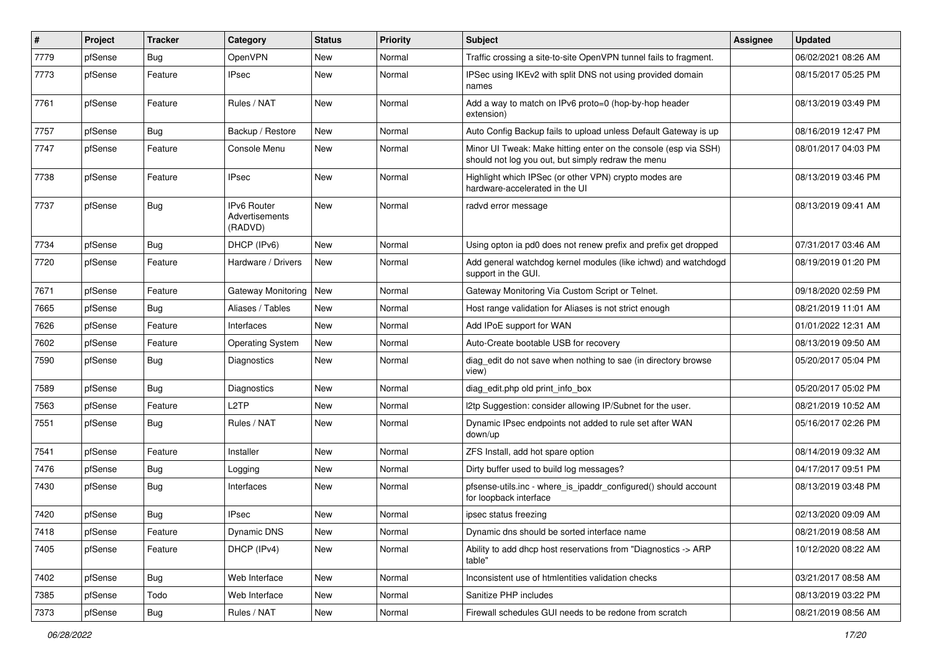| $\vert$ # | Project | <b>Tracker</b> | Category                                 | <b>Status</b> | <b>Priority</b> | Subject                                                                                                               | <b>Assignee</b> | <b>Updated</b>      |
|-----------|---------|----------------|------------------------------------------|---------------|-----------------|-----------------------------------------------------------------------------------------------------------------------|-----------------|---------------------|
| 7779      | pfSense | <b>Bug</b>     | OpenVPN                                  | New           | Normal          | Traffic crossing a site-to-site OpenVPN tunnel fails to fragment.                                                     |                 | 06/02/2021 08:26 AM |
| 7773      | pfSense | Feature        | IPsec                                    | <b>New</b>    | Normal          | IPSec using IKEv2 with split DNS not using provided domain<br>names                                                   |                 | 08/15/2017 05:25 PM |
| 7761      | pfSense | Feature        | Rules / NAT                              | <b>New</b>    | Normal          | Add a way to match on IPv6 proto=0 (hop-by-hop header<br>extension)                                                   |                 | 08/13/2019 03:49 PM |
| 7757      | pfSense | Bug            | Backup / Restore                         | <b>New</b>    | Normal          | Auto Config Backup fails to upload unless Default Gateway is up                                                       |                 | 08/16/2019 12:47 PM |
| 7747      | pfSense | Feature        | Console Menu                             | New           | Normal          | Minor UI Tweak: Make hitting enter on the console (esp via SSH)<br>should not log you out, but simply redraw the menu |                 | 08/01/2017 04:03 PM |
| 7738      | pfSense | Feature        | <b>IPsec</b>                             | New           | Normal          | Highlight which IPSec (or other VPN) crypto modes are<br>hardware-accelerated in the UI                               |                 | 08/13/2019 03:46 PM |
| 7737      | pfSense | Bug            | IPv6 Router<br>Advertisements<br>(RADVD) | New           | Normal          | radvd error message                                                                                                   |                 | 08/13/2019 09:41 AM |
| 7734      | pfSense | Bug            | DHCP (IPv6)                              | <b>New</b>    | Normal          | Using opton ia pd0 does not renew prefix and prefix get dropped                                                       |                 | 07/31/2017 03:46 AM |
| 7720      | pfSense | Feature        | Hardware / Drivers                       | <b>New</b>    | Normal          | Add general watchdog kernel modules (like ichwd) and watchdogd<br>support in the GUI.                                 |                 | 08/19/2019 01:20 PM |
| 7671      | pfSense | Feature        | Gateway Monitoring New                   |               | Normal          | Gateway Monitoring Via Custom Script or Telnet.                                                                       |                 | 09/18/2020 02:59 PM |
| 7665      | pfSense | <b>Bug</b>     | Aliases / Tables                         | New           | Normal          | Host range validation for Aliases is not strict enough                                                                |                 | 08/21/2019 11:01 AM |
| 7626      | pfSense | Feature        | Interfaces                               | <b>New</b>    | Normal          | Add IPoE support for WAN                                                                                              |                 | 01/01/2022 12:31 AM |
| 7602      | pfSense | Feature        | <b>Operating System</b>                  | New           | Normal          | Auto-Create bootable USB for recovery                                                                                 |                 | 08/13/2019 09:50 AM |
| 7590      | pfSense | <b>Bug</b>     | Diagnostics                              | <b>New</b>    | Normal          | diag_edit do not save when nothing to sae (in directory browse<br>view)                                               |                 | 05/20/2017 05:04 PM |
| 7589      | pfSense | Bug            | Diagnostics                              | <b>New</b>    | Normal          | diag_edit.php old print_info_box                                                                                      |                 | 05/20/2017 05:02 PM |
| 7563      | pfSense | Feature        | L <sub>2</sub> TP                        | <b>New</b>    | Normal          | I2tp Suggestion: consider allowing IP/Subnet for the user.                                                            |                 | 08/21/2019 10:52 AM |
| 7551      | pfSense | <b>Bug</b>     | Rules / NAT                              | <b>New</b>    | Normal          | Dynamic IPsec endpoints not added to rule set after WAN<br>down/up                                                    |                 | 05/16/2017 02:26 PM |
| 7541      | pfSense | Feature        | Installer                                | <b>New</b>    | Normal          | ZFS Install, add hot spare option                                                                                     |                 | 08/14/2019 09:32 AM |
| 7476      | pfSense | <b>Bug</b>     | Logging                                  | New           | Normal          | Dirty buffer used to build log messages?                                                                              |                 | 04/17/2017 09:51 PM |
| 7430      | pfSense | <b>Bug</b>     | Interfaces                               | <b>New</b>    | Normal          | pfsense-utils.inc - where_is_ipaddr_configured() should account<br>for loopback interface                             |                 | 08/13/2019 03:48 PM |
| 7420      | pfSense | <b>Bug</b>     | <b>IPsec</b>                             | <b>New</b>    | Normal          | ipsec status freezing                                                                                                 |                 | 02/13/2020 09:09 AM |
| 7418      | pfSense | Feature        | Dynamic DNS                              | New           | Normal          | Dynamic dns should be sorted interface name                                                                           |                 | 08/21/2019 08:58 AM |
| 7405      | pfSense | Feature        | DHCP (IPv4)                              | New           | Normal          | Ability to add dhcp host reservations from "Diagnostics -> ARP<br>table"                                              |                 | 10/12/2020 08:22 AM |
| 7402      | pfSense | Bug            | Web Interface                            | New           | Normal          | Inconsistent use of htmlentities validation checks                                                                    |                 | 03/21/2017 08:58 AM |
| 7385      | pfSense | Todo           | Web Interface                            | New           | Normal          | Sanitize PHP includes                                                                                                 |                 | 08/13/2019 03:22 PM |
| 7373      | pfSense | Bug            | Rules / NAT                              | New           | Normal          | Firewall schedules GUI needs to be redone from scratch                                                                |                 | 08/21/2019 08:56 AM |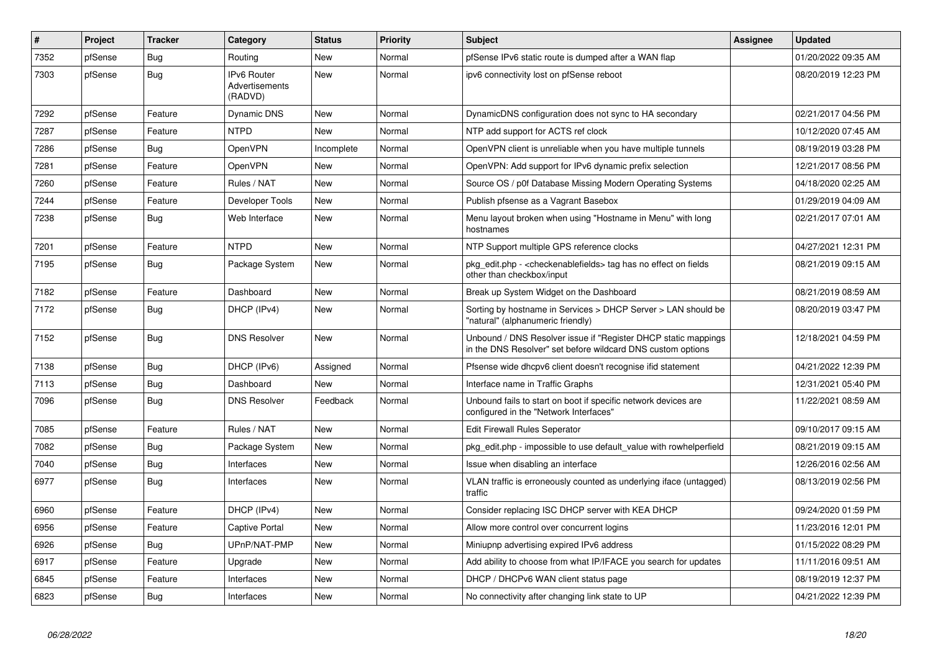| $\sharp$ | Project | <b>Tracker</b> | Category                                 | <b>Status</b> | <b>Priority</b> | <b>Subject</b>                                                                                                                | <b>Assignee</b> | <b>Updated</b>      |
|----------|---------|----------------|------------------------------------------|---------------|-----------------|-------------------------------------------------------------------------------------------------------------------------------|-----------------|---------------------|
| 7352     | pfSense | Bug            | Routing                                  | <b>New</b>    | Normal          | pfSense IPv6 static route is dumped after a WAN flap                                                                          |                 | 01/20/2022 09:35 AM |
| 7303     | pfSense | <b>Bug</b>     | IPv6 Router<br>Advertisements<br>(RADVD) | New           | Normal          | ipv6 connectivity lost on pfSense reboot                                                                                      |                 | 08/20/2019 12:23 PM |
| 7292     | pfSense | Feature        | <b>Dynamic DNS</b>                       | <b>New</b>    | Normal          | DynamicDNS configuration does not sync to HA secondary                                                                        |                 | 02/21/2017 04:56 PM |
| 7287     | pfSense | Feature        | <b>NTPD</b>                              | <b>New</b>    | Normal          | NTP add support for ACTS ref clock                                                                                            |                 | 10/12/2020 07:45 AM |
| 7286     | pfSense | Bug            | OpenVPN                                  | Incomplete    | Normal          | OpenVPN client is unreliable when you have multiple tunnels                                                                   |                 | 08/19/2019 03:28 PM |
| 7281     | pfSense | Feature        | OpenVPN                                  | New           | Normal          | OpenVPN: Add support for IPv6 dynamic prefix selection                                                                        |                 | 12/21/2017 08:56 PM |
| 7260     | pfSense | Feature        | Rules / NAT                              | <b>New</b>    | Normal          | Source OS / p0f Database Missing Modern Operating Systems                                                                     |                 | 04/18/2020 02:25 AM |
| 7244     | pfSense | Feature        | Developer Tools                          | <b>New</b>    | Normal          | Publish pfsense as a Vagrant Basebox                                                                                          |                 | 01/29/2019 04:09 AM |
| 7238     | pfSense | Bug            | Web Interface                            | <b>New</b>    | Normal          | Menu layout broken when using "Hostname in Menu" with long<br>hostnames                                                       |                 | 02/21/2017 07:01 AM |
| 7201     | pfSense | Feature        | <b>NTPD</b>                              | New           | Normal          | NTP Support multiple GPS reference clocks                                                                                     |                 | 04/27/2021 12:31 PM |
| 7195     | pfSense | Bug            | Package System                           | New           | Normal          | pkg_edit.php - <checkenablefields> tag has no effect on fields<br/>other than checkbox/input</checkenablefields>              |                 | 08/21/2019 09:15 AM |
| 7182     | pfSense | Feature        | Dashboard                                | <b>New</b>    | Normal          | Break up System Widget on the Dashboard                                                                                       |                 | 08/21/2019 08:59 AM |
| 7172     | pfSense | Bug            | DHCP (IPv4)                              | <b>New</b>    | Normal          | Sorting by hostname in Services > DHCP Server > LAN should be<br>"natural" (alphanumeric friendly)                            |                 | 08/20/2019 03:47 PM |
| 7152     | pfSense | <b>Bug</b>     | <b>DNS Resolver</b>                      | <b>New</b>    | Normal          | Unbound / DNS Resolver issue if "Register DHCP static mappings<br>in the DNS Resolver" set before wildcard DNS custom options |                 | 12/18/2021 04:59 PM |
| 7138     | pfSense | <b>Bug</b>     | DHCP (IPv6)                              | Assigned      | Normal          | Pfsense wide dhcpv6 client doesn't recognise if id statement                                                                  |                 | 04/21/2022 12:39 PM |
| 7113     | pfSense | Bug            | Dashboard                                | <b>New</b>    | Normal          | Interface name in Traffic Graphs                                                                                              |                 | 12/31/2021 05:40 PM |
| 7096     | pfSense | Bug            | <b>DNS Resolver</b>                      | Feedback      | Normal          | Unbound fails to start on boot if specific network devices are<br>configured in the "Network Interfaces"                      |                 | 11/22/2021 08:59 AM |
| 7085     | pfSense | Feature        | Rules / NAT                              | <b>New</b>    | Normal          | <b>Edit Firewall Rules Seperator</b>                                                                                          |                 | 09/10/2017 09:15 AM |
| 7082     | pfSense | Bug            | Package System                           | <b>New</b>    | Normal          | pkg edit.php - impossible to use default value with rowhelperfield                                                            |                 | 08/21/2019 09:15 AM |
| 7040     | pfSense | <b>Bug</b>     | Interfaces                               | <b>New</b>    | Normal          | Issue when disabling an interface                                                                                             |                 | 12/26/2016 02:56 AM |
| 6977     | pfSense | <b>Bug</b>     | Interfaces                               | <b>New</b>    | Normal          | VLAN traffic is erroneously counted as underlying iface (untagged)<br>traffic                                                 |                 | 08/13/2019 02:56 PM |
| 6960     | pfSense | Feature        | DHCP (IPv4)                              | <b>New</b>    | Normal          | Consider replacing ISC DHCP server with KEA DHCP                                                                              |                 | 09/24/2020 01:59 PM |
| 6956     | pfSense | Feature        | Captive Portal                           | <b>New</b>    | Normal          | Allow more control over concurrent logins                                                                                     |                 | 11/23/2016 12:01 PM |
| 6926     | pfSense | Bug            | UPnP/NAT-PMP                             | <b>New</b>    | Normal          | Miniupnp advertising expired IPv6 address                                                                                     |                 | 01/15/2022 08:29 PM |
| 6917     | pfSense | Feature        | Upgrade                                  | <b>New</b>    | Normal          | Add ability to choose from what IP/IFACE you search for updates                                                               |                 | 11/11/2016 09:51 AM |
| 6845     | pfSense | Feature        | Interfaces                               | <b>New</b>    | Normal          | DHCP / DHCPv6 WAN client status page                                                                                          |                 | 08/19/2019 12:37 PM |
| 6823     | pfSense | <b>Bug</b>     | Interfaces                               | <b>New</b>    | Normal          | No connectivity after changing link state to UP                                                                               |                 | 04/21/2022 12:39 PM |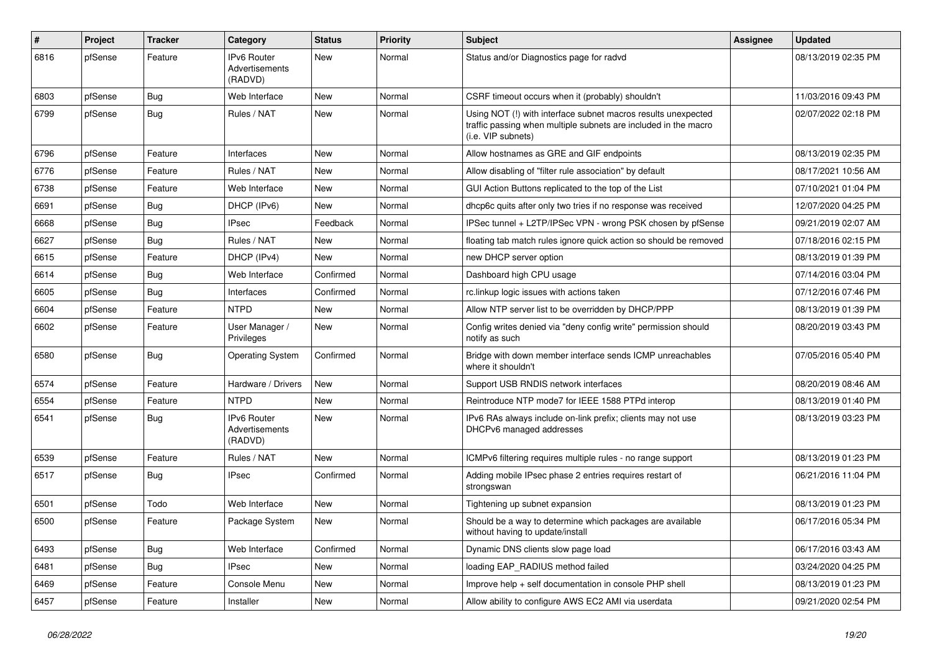| #    | Project | <b>Tracker</b> | Category                                        | <b>Status</b> | Priority | <b>Subject</b>                                                                                                                                         | <b>Assignee</b> | <b>Updated</b>      |
|------|---------|----------------|-------------------------------------------------|---------------|----------|--------------------------------------------------------------------------------------------------------------------------------------------------------|-----------------|---------------------|
| 6816 | pfSense | Feature        | <b>IPv6 Router</b><br>Advertisements<br>(RADVD) | <b>New</b>    | Normal   | Status and/or Diagnostics page for radvd                                                                                                               |                 | 08/13/2019 02:35 PM |
| 6803 | pfSense | <b>Bug</b>     | Web Interface                                   | <b>New</b>    | Normal   | CSRF timeout occurs when it (probably) shouldn't                                                                                                       |                 | 11/03/2016 09:43 PM |
| 6799 | pfSense | <b>Bug</b>     | Rules / NAT                                     | <b>New</b>    | Normal   | Using NOT (!) with interface subnet macros results unexpected<br>traffic passing when multiple subnets are included in the macro<br>(i.e. VIP subnets) |                 | 02/07/2022 02:18 PM |
| 6796 | pfSense | Feature        | Interfaces                                      | <b>New</b>    | Normal   | Allow hostnames as GRE and GIF endpoints                                                                                                               |                 | 08/13/2019 02:35 PM |
| 6776 | pfSense | Feature        | Rules / NAT                                     | New           | Normal   | Allow disabling of "filter rule association" by default                                                                                                |                 | 08/17/2021 10:56 AM |
| 6738 | pfSense | Feature        | Web Interface                                   | New           | Normal   | GUI Action Buttons replicated to the top of the List                                                                                                   |                 | 07/10/2021 01:04 PM |
| 6691 | pfSense | <b>Bug</b>     | DHCP (IPv6)                                     | <b>New</b>    | Normal   | dhcp6c quits after only two tries if no response was received                                                                                          |                 | 12/07/2020 04:25 PM |
| 6668 | pfSense | <b>Bug</b>     | <b>IPsec</b>                                    | Feedback      | Normal   | IPSec tunnel + L2TP/IPSec VPN - wrong PSK chosen by pfSense                                                                                            |                 | 09/21/2019 02:07 AM |
| 6627 | pfSense | <b>Bug</b>     | Rules / NAT                                     | New           | Normal   | floating tab match rules ignore quick action so should be removed                                                                                      |                 | 07/18/2016 02:15 PM |
| 6615 | pfSense | Feature        | DHCP (IPv4)                                     | <b>New</b>    | Normal   | new DHCP server option                                                                                                                                 |                 | 08/13/2019 01:39 PM |
| 6614 | pfSense | <b>Bug</b>     | Web Interface                                   | Confirmed     | Normal   | Dashboard high CPU usage                                                                                                                               |                 | 07/14/2016 03:04 PM |
| 6605 | pfSense | <b>Bug</b>     | Interfaces                                      | Confirmed     | Normal   | rc.linkup logic issues with actions taken                                                                                                              |                 | 07/12/2016 07:46 PM |
| 6604 | pfSense | Feature        | <b>NTPD</b>                                     | <b>New</b>    | Normal   | Allow NTP server list to be overridden by DHCP/PPP                                                                                                     |                 | 08/13/2019 01:39 PM |
| 6602 | pfSense | Feature        | User Manager /<br>Privileges                    | <b>New</b>    | Normal   | Config writes denied via "deny config write" permission should<br>notify as such                                                                       |                 | 08/20/2019 03:43 PM |
| 6580 | pfSense | Bug            | <b>Operating System</b>                         | Confirmed     | Normal   | Bridge with down member interface sends ICMP unreachables<br>where it shouldn't                                                                        |                 | 07/05/2016 05:40 PM |
| 6574 | pfSense | Feature        | Hardware / Drivers                              | <b>New</b>    | Normal   | Support USB RNDIS network interfaces                                                                                                                   |                 | 08/20/2019 08:46 AM |
| 6554 | pfSense | Feature        | <b>NTPD</b>                                     | <b>New</b>    | Normal   | Reintroduce NTP mode7 for IEEE 1588 PTPd interop                                                                                                       |                 | 08/13/2019 01:40 PM |
| 6541 | pfSense | Bug            | <b>IPv6 Router</b><br>Advertisements<br>(RADVD) | <b>New</b>    | Normal   | IPv6 RAs always include on-link prefix; clients may not use<br>DHCPv6 managed addresses                                                                |                 | 08/13/2019 03:23 PM |
| 6539 | pfSense | Feature        | Rules / NAT                                     | <b>New</b>    | Normal   | ICMPv6 filtering requires multiple rules - no range support                                                                                            |                 | 08/13/2019 01:23 PM |
| 6517 | pfSense | <b>Bug</b>     | <b>IPsec</b>                                    | Confirmed     | Normal   | Adding mobile IPsec phase 2 entries requires restart of<br>strongswan                                                                                  |                 | 06/21/2016 11:04 PM |
| 6501 | pfSense | Todo           | Web Interface                                   | <b>New</b>    | Normal   | Tightening up subnet expansion                                                                                                                         |                 | 08/13/2019 01:23 PM |
| 6500 | pfSense | Feature        | Package System                                  | New           | Normal   | Should be a way to determine which packages are available<br>without having to update/install                                                          |                 | 06/17/2016 05:34 PM |
| 6493 | pfSense | <b>Bug</b>     | Web Interface                                   | Confirmed     | Normal   | Dynamic DNS clients slow page load                                                                                                                     |                 | 06/17/2016 03:43 AM |
| 6481 | pfSense | <b>Bug</b>     | <b>IPsec</b>                                    | <b>New</b>    | Normal   | loading EAP RADIUS method failed                                                                                                                       |                 | 03/24/2020 04:25 PM |
| 6469 | pfSense | Feature        | Console Menu                                    | New           | Normal   | Improve help + self documentation in console PHP shell                                                                                                 |                 | 08/13/2019 01:23 PM |
| 6457 | pfSense | Feature        | Installer                                       | New           | Normal   | Allow ability to configure AWS EC2 AMI via userdata                                                                                                    |                 | 09/21/2020 02:54 PM |